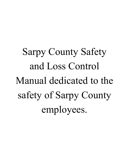Sarpy County Safety and Loss Control Manual dedicated to the safety of Sarpy County employees.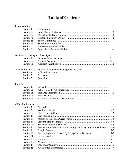## **Table of Contents**

| Section 1:  |                                                                         |  |
|-------------|-------------------------------------------------------------------------|--|
| Section 2:  |                                                                         |  |
| Section 3:  |                                                                         |  |
| Section 4:  |                                                                         |  |
| Section 5:  |                                                                         |  |
| Section 6:  |                                                                         |  |
| Section 7:  |                                                                         |  |
| Section 8:  |                                                                         |  |
|             |                                                                         |  |
| Section 1:  |                                                                         |  |
| Section 2:  |                                                                         |  |
| Section 3:  |                                                                         |  |
|             |                                                                         |  |
| Section 1:  |                                                                         |  |
| Section 2:  |                                                                         |  |
| Section 3:  |                                                                         |  |
|             |                                                                         |  |
| Section 1:  |                                                                         |  |
| Section 2:  |                                                                         |  |
| Section 3:  |                                                                         |  |
| Section 4:  |                                                                         |  |
| Section 5:  |                                                                         |  |
|             |                                                                         |  |
| Section 1:  |                                                                         |  |
| Section 2:  |                                                                         |  |
| Section 3:  |                                                                         |  |
| Section 4:  |                                                                         |  |
| Section 5:  |                                                                         |  |
| Section 6:  |                                                                         |  |
| Section 7:  |                                                                         |  |
| Section 8:  | Preventing Incidents Involving Being Struck By or Striking Objects  5-5 |  |
| Section 9:  |                                                                         |  |
| Section 10: |                                                                         |  |
| Section 11: |                                                                         |  |
| Section 12: |                                                                         |  |
| Section 13: |                                                                         |  |
| Section 14: |                                                                         |  |
| Section 15: |                                                                         |  |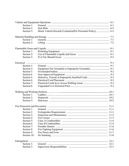| Section 1:  |                                                             |  |
|-------------|-------------------------------------------------------------|--|
| Section 2:  |                                                             |  |
| Section 3:  | Motor Vehicle Records Evaluation(Per Personnel Policy)  6-5 |  |
|             |                                                             |  |
| Section 1:  |                                                             |  |
| Section 2:  |                                                             |  |
|             |                                                             |  |
| Section 1:  |                                                             |  |
| Section 2:  |                                                             |  |
| Section 3:  |                                                             |  |
|             |                                                             |  |
| Section 1:  |                                                             |  |
| Section 2:  |                                                             |  |
| Section 3:  |                                                             |  |
| Section 4:  |                                                             |  |
| Section 5:  |                                                             |  |
| Section 6:  |                                                             |  |
| Section 7:  |                                                             |  |
| Section 8:  |                                                             |  |
|             |                                                             |  |
| Section 1:  |                                                             |  |
| Section 2:  |                                                             |  |
| Section 3:  |                                                             |  |
|             |                                                             |  |
| Section 1:  |                                                             |  |
| Section 2:  |                                                             |  |
| Section 3:  |                                                             |  |
| Section 4:  |                                                             |  |
| Section 5:  |                                                             |  |
| Section 6:  |                                                             |  |
| Section 7:  |                                                             |  |
| Section 8:  |                                                             |  |
| Section 9:  |                                                             |  |
| Section 10: |                                                             |  |
|             |                                                             |  |
| Section 1:  |                                                             |  |
| Section 2:  |                                                             |  |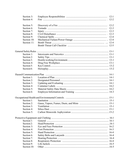| Section 3:  |  |
|-------------|--|
| Section 4:  |  |
|             |  |
| Section 5:  |  |
| Section 6:  |  |
| Section 7:  |  |
| Section 8:  |  |
| Section 9:  |  |
| Section 10: |  |
| Section 11: |  |
|             |  |
|             |  |
| Section 1:  |  |
|             |  |
| Section 2:  |  |
| Section 3:  |  |
| Section 4:  |  |
| Section 5:  |  |
| Section 6:  |  |
|             |  |
| Section 1:  |  |
| Section 2:  |  |
| Section 3:  |  |
| Section 4:  |  |
| Section 5:  |  |
| Section 6:  |  |
|             |  |
|             |  |
| Section 1:  |  |
| Section 2:  |  |
| Section 3:  |  |
| Section 4:  |  |
| Section 5:  |  |
|             |  |
| Section 1:  |  |
| Section 2:  |  |
| Section 3:  |  |
| Section 4:  |  |
| Section 5:  |  |
| Section 6:  |  |
| Section 7:  |  |
| Section 8:  |  |
| Section 9:  |  |
| Section 10: |  |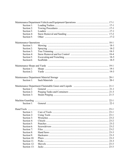| Section 1:  |  |
|-------------|--|
| Section 2:  |  |
| Section 3:  |  |
| Section 4:  |  |
| Section 5:  |  |
|             |  |
| Section 1:  |  |
| Section 2:  |  |
| Section 3:  |  |
| Section 4:  |  |
| Section 5:  |  |
| Section 6:  |  |
|             |  |
| Section 1:  |  |
| Section 2:  |  |
|             |  |
| Section 1:  |  |
|             |  |
| Section 1:  |  |
| Section 2:  |  |
| Section 3:  |  |
|             |  |
|             |  |
|             |  |
|             |  |
| Section 1:  |  |
|             |  |
| Section 3:  |  |
| Section 4:  |  |
| Section 5:  |  |
| Section 6:  |  |
| Section 7:  |  |
| Section 8:  |  |
| Section 9:  |  |
| Section 10: |  |
| Section 11: |  |
| Section 12: |  |
| Section 13: |  |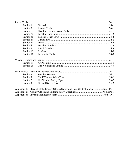| Section 1:  |                                                                         |  |
|-------------|-------------------------------------------------------------------------|--|
| Section 2:  |                                                                         |  |
| Section 3:  |                                                                         |  |
| Section 4:  |                                                                         |  |
| Section 5:  |                                                                         |  |
| Section 6:  |                                                                         |  |
| Section 7:  |                                                                         |  |
| Section 8:  |                                                                         |  |
| Section 9:  |                                                                         |  |
| Section 10: |                                                                         |  |
| Section 11: |                                                                         |  |
|             |                                                                         |  |
|             |                                                                         |  |
| Section 1:  |                                                                         |  |
| Section 2:  |                                                                         |  |
|             |                                                                         |  |
| Section 1:  |                                                                         |  |
| Section 2:  |                                                                         |  |
| Section 3:  |                                                                         |  |
| Section 4:  |                                                                         |  |
| Appendix 1: | Receipt of the County Offices Safety and Loss Control Manual App 1 Pg 1 |  |
| Appendix 2: |                                                                         |  |
| Appendix 3: |                                                                         |  |
|             |                                                                         |  |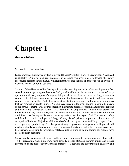# **Chapter 1**

*Responsibilities*

### **Section 1: Introduction**

Every employer must have a written Injury and Illness Prevention plan. This is our plan. Please read it carefully. While no plan can guarantee an accident free work place, following the safety procedures set forth in this manual will significantly reduce the risk of danger to you and your coworkers. Thank you for all our safety.

State and federal law, as well as County policy, make the safety and health of our employees the first consideration in operating our business. Safety and health in our business must be a part of every operation, and every employee's responsibility at all levels. It is the intent of Sarpy County to comply with all laws concerning the operation of the business and the health and safety of our employees and the public. To do this, we must constantly be aware of conditions in all work areas that can produce or lead to injuries. No employee is required to work at a job known to be unsafe or dangerous to their health. Your cooperation in detecting hazards, reporting dangerous conditions and controlling workplace hazards is a condition of employment. Inform your supervisor immediately of any situation beyond your ability or authority to correct. Employees will not be disciplined or suffer any retaliation for reporting a safety violation in good faith. The personal safety and health of each employee of Sarpy County is of primary importance. Prevention of occupationally-induced injuries and illnesses is of such consequence that it will be given precedence over operating productivity. To the greatest degree possible, management will provide all mechanical and physical protection required for personal safety and health, but our employees must bear primary responsibility for working safely. A little common sense and caution can prevent most accidents from occurring.

Sarpy County maintains a safety and health program conforming to the best practices of our field. To be successful, such a program must embody proper attitudes towards injury and illness prevention on the part of supervisors and employees. It requires the cooperation in all safety and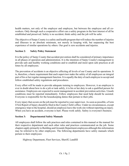health matters, not only of the employer and employee, but between the employee and all coworkers. Only through such a cooperative effort can a safety program in the best interest of all be established and preserved. Safety is no accident; think safety and the job will be safer.

The objective of Sarpy County is a safety and health program that will reduce the number of injuries and illnesses to an absolute minimum, not merely in keeping with, but surpassing the best experience of similar operations by others. Our goal is zero accidents and injuries.

### **Section 2: Safety Policy Statement**

It is the policy of Sarpy County that accident prevention shall be considered of primary importance in all phases of operation and administration. It is the intention of Sarpy County's management to provide safe and healthy working conditions and to establish and insist upon safe practices at all times by all employees.

The prevention of accidents is an objective affecting all levels of our County and its operations. It is, therefore, a basic requirement that each supervisor make the safety of all employees an integral part of his or her regular management function. It is equally the duty of each employee to accept and follow established safety regulations and procedures.

Every effort will be made to provide adequate training to employees. However, it an employee is ever in doubt about how to do a job or task safely, it is his or her duty to ask a qualified person for assistance. Employees are expected to assist management in accident prevention activities. Unsafe conditions must be reported immediately. Fellow employees that need help should be assisted. Everyone is responsible for the housekeeping duties that pertain to their jobs.

Every injury that occurs on the job must be reported to your supervisor. As soon as possible, a Form I First Report of Injury should be filed in the County Clerk's office. Under no circumstances, except emergency trips to the hospital, should an employee leave the work site without reporting an injury. When you have an accident, everyone is hurt. Please work safely. Safety is everyone's business.

### **Section 3: Departmental Safety Manuals**

All employees shall follow the safe practices and rules contained in this manual or the manual for their respective department and such other rules and practices communicated on the job. Some chapters apply primarily to Building and Grounds Department employees although this information may be referred to by other employees. The following departments have safety manuals which pertain to their employees:

Highway Department, Fleet Services, Sheriff, Landfill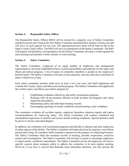### **Section 4: Responsible Safety Officer**

The Responsible Safety Officer (RSO) will be elected by a majority vote of Safety Committee members present and voting at the first Safety Committee meeting held in January of each year and will serve in such capacity for one year. The appointed person's name will be kept on file in the Sarpy County Clerk's office. The RSO will serve as chairperson of the Safety Committee. The RSO will prepare and distribute correspondence for the Safety Committee, develop a written agenda for each meeting and maintain written minutes of each meeting.

### **Section 5: Safety Committee**

The Safety Committee, composed of an equal number of employees and management representatives, has been established to have overall responsibility and authority for the injury and illness prevention program. A list of names of committee members is posted on the employee's bulletin board. The Safety Committee will meet at least quarterly, and may take time to perform its duties without loss of pay.

Each safety committee member shall serve at least a two year term, and shall implement and evaluate the County's injury and illness prevention program. The Safety Committee will supplement this written injury and illness prevention program by:

- 1. Establishing workplace objectives and safety recognition programs;
- 2. Working with all government officials in both accident investigation and safety inspection procedures;
- 3. Maintaining safety and individual training records;
- 4. Encouraging reporting of unsafe conditions and promoting a safe workplace.

The committee evaluates all accident reports, employee hazardous situation reports and makes recommendations for improving safety. The Safety Committee will conduct scheduled and unscheduled inspections to identify and correct unsafe working conditions. Special attention shall be given to serious concealed dangers.

In addition, the committee will recommend programs periodically to educate and train employees in safety aspects of the facility. The Safety Committee will make decisions by majority vote of those present and voting. Six members shall constitute a quorum for the purpose of conducting business. The Safety Committee shall also maintain records of training, periodic inspections, corrective actions and investigations. The Safety Committee will develop a system to encourage employees to report unsafe, conditions immediately. The Safety Committee invites all employees who have a specific concern about company safety to address the committee at its next regular meeting. However, if you have a concern that demands more immediate attention, you may present the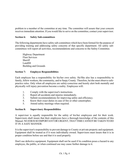problem to a member of the committee at any time. The committee will assure that your concern receives immediate attention. If you would like to serve on the committee, contact your supervisor.

### **Section 6: Safety Sub-committees**

The following departments have safety sub-committees which have been formed for the purpose of providing training and addressing safety concerns of that specific department. All safety subcommittees will report all activities, recommendations and concerns to the Safety Committee.

Highway Department Fleet Services **Sheriff** Landfill Building and Grounds

### **Section 7: Employee Responsibilities**

Each employee has a responsibility for his/her own safety. He/She also has a responsibility to family, fellow workers, the community, and to Sarpy County. Therefore, he/she must observe safepractice rules. Only when all employees are safety-conscious and keenly alert both mentally and physically will injury prevention become a reality. Employees will:

- 1. Comply with the supervisor's instructions.
- 2. Report all accidents and injuries immediately.
- 3. Submit recommendations for improving safety and efficiency.
- 4. Know their exact duties in case of fire or other catastrophes.
- 5. Attend safety meetings when required.

### **Section 8: Supervisory Responsibilities**

A supervisor is equally responsible for the safety of his/her employees and for their work. Supervisors shall insure that their employees have a thorough knowledge of the contents of this Manual. NO JOB IS SO IMPORTANT OR URGENT, THAT TIME CANNOT BE TAKEN TO DO IT IN A SAFE MANNER.

It is the supervisor's responsibility to prevent damage to County or private property and equipment. Equipment shall be treated as if it were individually owned. Supervisors must insure that it is in proper condition before use and that it is used properly.

Don't use defective equipment. Equipment shall not be used if its condition poses a hazard to any employee, the public, or when continued use may cause further damage to it.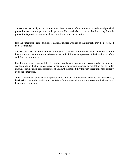Supervisors shall analyze work in advance to determine the safe, economical procedure and physical protection necessary to perform each operation. They shall also be responsible for seeing that this protection is provided, maintained and used throughout the operation.

It is the supervisor's responsibility to assign qualified workers so that all tasks may be performed in a safe manner.

Supervisors shall insure that new employees assigned to unfamiliar work, receive specific instructions on the precautions to be observed and advise new employees of the location of safety and first-aid equipment.

It is the supervisor's responsibility to see that County safety regulations, as outlined in the Manual, are complied with at all times, except when compliance with a particular regulation might, under unusual circumstance, constitute more of a hazard. Responsibility for such exceptions rests directly upon the supervisor.

When a supervisor believes that a particular assignment will expose workers to unusual hazards, he/she shall report the condition to the Safety Committee and make plans to reduce the hazards or increase the protection.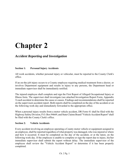# **Chapter 2**

### *Accident Reporting and Investigation*

### **Section 1: Personal Injury Accidents**

All work accidents, whether personal injury or vehicular, must be reported to the County Clerk's office.

If an on-the-job injury occurs to a County employee requiring medical treatment from a doctor, or involves Department equipment and results in injury to any persons, the Department head or immediate supervisor shall be immediately notified.

The injured employee shall complete and sign the First Report of Alleged Occupational Injury or Illness form. The supervisor shall investigate (see attached Investigation Report Form, Appendix 3) each accident to determine the cause or causes. Findings and recommendations shall be reported on the supervisors accident report. Both reports shall be completed on the day of the accident or on the following work day and immediately forwarded to the appropriate office.

When a personal injury results from a motor vehicle accident, DR Form 41 shall be filed with the Highway Safety Division, P.O. Box 94669, and State Claims Board "Vehicle Accident Report" shall be filed with the County Clerk's office.

### **Section 2: Vehicle Accidents**

Every accident involving an employee operating a County motor vehicle or equipment assigned to an employee, shall be reported regardless of what property was damaged, who was injured or where and how it occurred. It must be completed on the day of the accident, or at the latest, on the following work day. If the employee is unable to complete or sign the report due to injury, his/her immediate supervisor shall submit the report without delay. The immediate supervisor of the employee shall review the "Vehicle Accident Report" to determine if it has been properly completed.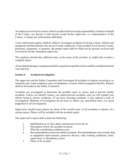An employee involved in a motor vehicle accident shall not accept responsibility or blame on behalf of the County, nor discuss it with anyone except his/her supervisor, or a representative of the County, or proper law enforcement authorities.

A law enforcement agency shall be called to investigate accidents involving County vehicles and equipment and third parties who are not County employees. If the accident involved only County personnel, equipment, or property, the proper report shall be filled out by persons involved and reviewed by his/her immediate supervisor.

The employee should take sufficient notes, at the scene of the accident, to enable him to make a complete report.

All accidental damage to equipment shall be reported except that which would be considered normal wear and tear.

### **Section 3: Accident Investigation**

The supervisor and the Safety Committee shall investigate all accidents or injuries occurring to or caused by any County employee, piece of equipment, or motor vehicle assigned to him/her. Reports shall be forwarded to the Safety Committee.

Accidents are investigated to determine the possible cause or causes, and to prevent similar accidents. Unless you identify causes, you cannot prevent accidents, and you will expend your efforts trying to correct symptoms. If you have recurring accidents, it may indicate a lack of investigation. Methods of investigation do not have to follow any specialized form. Use good judgement in all investigations.

Supervisors should insure photos are taken of the overall scene, of all accidents or injuries of a serious nature. Photos will be included with the accident report.

The supervisor's report shall contain the following:

- 1. Identification as to time, place, and persons involved, etc.
- 2. Description of how the accident occurred.
- 3. What the contributing conditions were.
- 4. Recommendations to prevent similar accidents. Recommendations may include shop or equipment improvements, protective devices, safer working conditions, better supervision, or disciplinary action.
- 5. Photos of the accident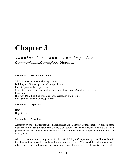## **Chapter 3**

### *Vaccination and Testing for Communicable/Contagious Diseases*

### **Section 1: Affected Personnel**

Jail Maintenance personnel except clerical Building and Grounds personnel except clerical Landfill personnel except clerical (Sheriffs personnel are excluded and should follow Sheriffs Standard Operating Procedure) Highway Department personnel except clerical and engineering Fleet Services personnel except clerical

#### **Section 2: Exposures**

**HIV** Hepatitis B

#### **Section 3: Procedure**

Affected personnel may request vaccination for Hepatitis B virus at County expense. A consent form must be completed and filed with the County Clerk before the vaccination is received. If the affected person chooses not to receive the vaccination, a waiver form must be completed and filed with the County Clerk.

Affected personnel must complete a First Report of Alleged Occupation Injury or Illness form if they believe themselves to have been directly exposed to the HIV virus while performing a work related duty. The employee may subsequently request testing for HIV at County expense after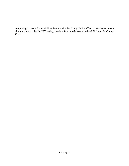completing a consent form and filing the form with the County Clerk's office. If the affected person chooses not to receive the HIV testing, a waiver form must be completed and filed with the County Clerk.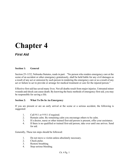# **Chapter 4**

### *First Aid*

### **Section 1: General**

Section 25-1152, Nebraska Statutes, reads in part: "No person who renders emergency care at the scene of an accident or other emergency gratuitously, shall be held liable for any civil damages as a result of any act or omission by such person in rendering the emergency care or as a result of any act or failure to act to provide or arrange for medical treatment or care for the injured person."

Effective first-aid has saved many lives. Not all deaths result from major injuries. Untreated minor wounds and shock can cause death. By knowing the basic methods of emergency first-aid, you may be responsible for saving a life.

### **Section 2: What To Do In An Emergency**

If you are present or are an early arrival at the scene or a serious accident, the following is suggested:

- 1. Call 911 or 9 911 if required.
- 2. Remain calm. By remaining calm you encourage others to be calm.
- 3. If a doctor, nurse or other trained first-aid person is present, offer your assistance.
- 4. If there is no qualified or trained first-aid person, take over until one arrives. Send for aid.

Generally, These ten steps should be followed:

- 1. Do not move a victim unless absolutely necessary.
- 2. Check pulse.
- 3. Restore breathing.
- 4. Stop serious bleeding.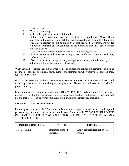- 5. Treat for shock.
- 6. Treat for poisoning.
- 7. Call, or delegate someone to call for aid.
- 8. If the victim is conscious, reassure him that aid is on the way. Never offer a diagnosis to the victim. Do not tell him that he has a broken arm, internal injuries, etc. This judgement should be made by a qualified medical person. Do not let onlookers comment on the condition of the victim as they may cause further emotional shock.
- 9. Make the victim as comfortable as possible while waiting for aid.
- 10. Stay at the scene until emergency help arrives. Offer assistance to the doctor, ambulance, etc.
- 11. Discuss the accident or injuries only with police or other qualified authority. Give all factual information relating to the accident.

When you call for emergency aid, or when you send someone to call for aid, remember to give as accurate a location as possible: highway number and reference post, how many persons are injured, types of injuries, etc.

If you do not know the number of the emergency services for a particular location, dial "911" and tell the operator that you are making an emergency call. The operator will connect you with the proper authority.

Know the emergency number in your area. (Dial "911" \*NOTE: When dialing the emergency number, 911, within the Courthouse, Highway Department and Fleet buildings, you must first dial a 9 and then 911.) Public works employees should utilize the emergency channel (14).

### **Section 3: First-Aid Information**

Following are some prescribed first-aid steps for accident emergency situations. A severely injured person may go into shock and treatment must be started immediately. TREAT INJURIES IN THE ORDER OF THEIR IMPORTANCE - RESTORE BREATHING, CPR, STOP BLEEDING, AND TREAT FOR SHOCK.

| <b>INJURY CONDITION</b> | <b>SIGNS</b>                          | <b>TREATMENT</b>                         |
|-------------------------|---------------------------------------|------------------------------------------|
| Not Breathing           | <b>Breathing stopped</b><br>entirely. | Apply artificial respiration AT<br>ONCE. |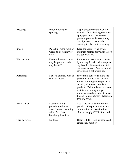| Bleeding            | Blood flowing or<br>spurting.                                                                                | Apply direct pressure over the<br>wound. If the bleeding continues,<br>apply pressure at the nearest<br>pressure point while continuing<br>direct pressure. Secure the<br>dressing in place with a bandage.                                                                                            |
|---------------------|--------------------------------------------------------------------------------------------------------------|--------------------------------------------------------------------------------------------------------------------------------------------------------------------------------------------------------------------------------------------------------------------------------------------------------|
| Shock               | Pale skin, pulse rapid or<br>weak, body clammy or<br>cold.                                                   | Keep the victim lying down.<br>Maintain normal body heat. Keep<br>the patient calm.                                                                                                                                                                                                                    |
| Electrocution       | Unconsciousness, burns<br>may be present, body<br>may be stiff.                                              | Remove the person from contact<br>by moving the wire with a rope or<br>dry board. Eliminate immediate<br>source of current. Apply artificial<br>respiration if not breathing.                                                                                                                          |
| Poisoning           | Nausea, cramps, burn or<br>stain on mouth.                                                                   | If victim is conscious dilute the<br>poison by giving water or milk.<br>Induce vomiting unless poison is<br>an acid, alkaline or petroleum<br>product. If victim is unconscious,<br>maintain breathing and get<br>immediate medical help. Contact<br>Poison Control Center. Telephone<br>800-642-9999. |
| <b>Heart Attack</b> | Loud breathing,<br>pounding pulse, red<br>face. Uneven breathing,<br>white face. No<br>breathing, blue face. | Assist victim to a comfortable<br>position. Keep victim calm and<br>comfortable. Loosen binding<br>clothes. Apply C.P.R. if needed.                                                                                                                                                                    |
| Cardiac Arrest      | No Pulse.                                                                                                    | Begin C.P.R. Have someone call<br>emergency number.                                                                                                                                                                                                                                                    |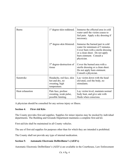| <b>Burns</b>    | 1 <sup>st</sup> degree-skin reddened.                                         | Immerse the effected area in cold<br>water until the victim ceases to<br>feel pain. Apply a dry dressing if<br>necessary.                                                            |
|-----------------|-------------------------------------------------------------------------------|--------------------------------------------------------------------------------------------------------------------------------------------------------------------------------------|
|                 | $2nd$ degree-skin blistered.                                                  | Immerse the burned part in cold<br>water for minimum of 5 minutes.<br>Cover burn with a sterile dressing<br>or a clean sheet. Do not apply<br>burn ointment. Consult a<br>physician. |
|                 | $3rd$ degree-destruction of<br>tissue                                         | Cover the burned area with a<br>sterile dressing or a clean sheet.<br>Do not apply burn ointment.<br>Consult a physician.                                                            |
| Sunstroke       | Headache, red face, skin<br>hot and dry, no<br>sweating, high<br>temperature. | Lay victim down with the head<br>elevated, cool the body, no<br>stimulants.                                                                                                          |
| Heat exhaustion | Pale face, profuse<br>sweating, weak pulse,<br>possible fainting.             | Lay victim level, maintain normal<br>body heat, and give sale with<br>fluids when conscious.                                                                                         |

A physician should be consulted for any serious injury or illness.

### **Section 4: First-Aid Kits**

The County provides first-aid supplies. Supplies for minor injuries may be stocked by individual departments. The Building and Grounds Department maintains a complete first-aid kit.

First-aid kits shall be maintained in all County vehicles.

The use of first-aid supplies for purposes other than for which they are intended is prohibited.

The County shall not provide any type of internal medication.

### **Section 5: Automatic Electronic Defibrillator's (AED's)**

Automatic Electronic Defibrillator's (AED's) are available in the Courthouse, Law Enforcement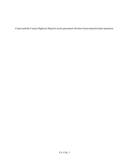Center and the County Highway Shop for use by personnel who have been trained in their operation.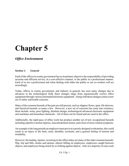# **Chapter 5**

### *Office Environment*

### **Section 1: General**

Each of the offices in county government has as its primary objective the responsibility of providing accurate and efficient service, in a cost-effective manner, to the public in a professional manner. Each of us are a professional and when dealing with either the public or our co-workers will act accordingly.

Today, offices in county government, and industry in general, has seen many changes due to advances in the technological field, these changes range from ergonomically correct office equipment through various automated electronic equipment. Along with these changes comes a new set of safety and health concerns.

Many of the common hazards of the past are still present, such as slippery floors, open file drawers, and electrical hazards, to name a few. However, a new set of concerns has come into existence, these include noise, poor lighting, furniture design, technological advanced electronic equipment and machines and hazardous chemicals. All of these can be found and are used in the office.

Additionally, the rapid pace of office work has produce another set of new occupational hazards including repetitive motion injuries, musculoskeletal strains, and a host of stress related symptoms.

An example is the long periods an employee must put in at a poorly designed workstation, this could result in an injury to the back, neck, shoulder, eyestrain, and a general feeling of tension and irritability.

However, the leading injuries occurring in the office today are many of the older common hazards: Slip, trip and falls, strains and sprains, objects falling on employees, employees caught between objects, and employees being struck by or striking against objects. And, in a majority of cases such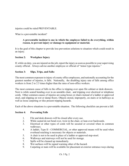injuries could be ruled PREVENTABLE.

What is a preventable incident?

### **A preventable incident is one in which the employee failed to do everything, within reason, to prevent injury or damage to equipment or material.**

It is the goal of this chapter to provide loss prevention solutions to situation which could result in an injury.

### **Section 2: Workplace Injury**

If, while on duty, you are injured on the job, report the injury as soon as possible to your supervising county official. Always advise another employee or official of "minor type injuries."

### **Section 3: Slips, Trips, and Falls:**

The most common exposure to injury of county office employees, and nationally accounting for the greatest number of injuries, is falls. Nationally, the disabling injury rate of falls among office workers is from 2 to 2.5 times higher than the rates of non-office workers.

The most common cause of falls in the office is tripping over open file cabinet or desk drawers. Next is while seated bending over in an unstable chair, and tripping over electrical or telephone cords. Other common causes of injuries are using boxes or chairs instead of a ladder or approved stool, and slipping on wet or damp floors. Objects stored, improperly, on stairs or in hallways as well as loose carpeting or tiles present tripping hazards.

Each of the above situations is a preventable situation. The following checklist can prevent a fall:

### **Section 4: Preventing Falls**

- 1. File and desk drawers will be closed after every use.
- 2. While seated do not bend over, twist in the chair, or lean over backwards.
- 3. Electrical or other types of cords will be secured or covered when in common walkways.
- 4. A ladder, Type II COMMERCIAL, or other approved means will be used when overhead reaching is necessary for objects or materials .
- 5. A chair is not to be used in place of a ladder or approved step-stool.
- 6. Walkways and stairways will not be used for storage.
- 7. Spills will be cleaned up immediately.
- 8. Wet surfaces will be signed warning other of the hazard.
- 9. Carpeting or mats will be available for placement at exterior entrance-ways during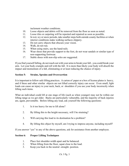inclement weather conditions.

- 10. Loose objects and debris will be removed from the floor as soon as noted.
- 11. Loose tiles or carpeting will be reported and repaired as soon as possible.
- 12. In wet, icy or snow periods, take smaller steps both outside county facilities or when interior conditions make walking surfaces slippery.
- 13. Do not carry objects that obscure your vision.
- 14. Walk, do not run.
- 15. When using stairs, use the hand-rails.
- 16. Wear shoes that provide support to the foot, do not wear sandals or similar type of non-supporting footwear.
- 17. Stable shoes with non-slip soles are suggested.

If you find yourself falling, do not reach out with your arms to break your fall...you could break your arm. Let your body crumple and roll with the fall. It is more than likely your body will absorb the impact and momentum of a fall, eliminating or at least reducing the chance of injury.

### **Section 5: Strains, Sprains and Overexertion**

It is important to follow safe lifting practices. A carton of paper or a box of license plates is heavy, and if these and other similar objects are not lifted correctly injury can occur. Even small, light loads can cause an injury to your neck, back, or shoulders if you use your body incorrectly when lifting such items.

What an individual could lift at one stage of life (such as when younger) may not be within our lifting range as we get older. Backs are particularly vulnerable, and the majority of back injuries are, again, preventable. Before lifting any load, ask yourself the following questions:

- 1. Is it too heavy for me to lift alone?
- 2. By lifting this to the height necessary, will I be straining?
- 3. Will carrying this load to its destination be a problem?
- 4. By lifting this object by myself, am I trying to impress anyone, including myself?

If you answer "yes" to any of the above questions, ask for assistance from another employee.

### **Section 6: Proper Lifting Techniques**

- 1. Place feet shoulder-width apart and be balanced.
- 2. When lifting from the floor, squat close to the load.
- 3. Keep you back in the neutral -straight- position.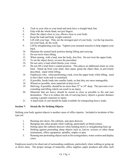- 4. Tuck in your chin so your head and neck have a straight back line.
- 5. Grip with the whole hand, not just fingers.
- 6. Draw the object close to you, elbows close to your body.
- 7. Keep the load and body weight centered.
- 8. Lift with your legs. They are the strongest part of your body. Let the leg muscles, not your back, do the work.
- 9. Lift by straightening your legs. Tighten your stomach muscles to help support your back.
- 10. Maintain the neutral back position during lifting and carrying.
- 11. Do not twist when lifting.
- 12. When turning with a load, turn the body, feet first. Do not twist the upper body.
- 13. To set the object down, reverse the procedure.
- 14. Do not carry a load which blocks your vision.
- 15. Do not lift a load from a seated position. This places an additional strain on your back. Stand up from your chair, then squat, grasp the object then, as previously described, stand while lifting.
- 16. Employees who, when performing a task, twist the upper body while lifting, need to have their work task re-examined.
- 17. If possible, break loads into smaller loads, so that they are more manageable.
- 18. Whenever possible, store materials at knee level.
- 19. Shelving, if possible, should be no more than 12" to 18" deep. This prevents overextending and lifting which can result in an injury.
- 20. Materials that are heavy should be stored as close as possible to the end user destination. This is to reduce the risk of carrying heavy objects a greater distance causing a greater exposure to injury.
- 21. A hand truck or cart should be made available for transporting heavy loads.

### **Section 7: Struck By Or Striking Objects**

Striking your body against objects is another cause of office injuries. Included in incidents of this type are:

- 1. Running into doors, file cabinets, and open drawers.
- 2. Bumping into other people while walking, particularly at blind-corners.
- 3. Hitting open file cabinets drawers when bending down or straightening back up.
- 4. Striking against protruding sharp objects such as, knives, scissors or other sharp instruments, office equipment, spindles, staples or pins.
- 5. Running into protruding objects such as fire extinguishers, water coolers and display cases.

Employees need to be observant of surrounding conditions, particularly when walking or going up or down stairs. The proper storage of materials, office supplies, paper products and other such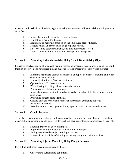materials, will assist in maintaining a good working environment. Objects striking employees can occur by:

- 1. Materials sliding from shelves or cabinet tops.
- 2. File cabinets being top-heavy.
- 3. Equipment or materials dropped on the employees feet or fingers.
- 4. Fingers caught under the knife-edge of paper cutters.
- 5. Scissors, knife-edge instruments, and pins not properly stored.
- 6. Doors, which open into common walkways or office spaces.

### **Section 8: Preventing Incidents Involving Being Struck By or Striking Objects**

Injuries of this type can be eliminated by employees being observant to surrounding conditions and through effective good housekeeping and material storage procedures. This would include:

- 1. Eliminate haphazard storage of materials on top of bookcases, shelving and other such over-head locations.
- 2. Proper distribution of files in each drawer.
- 3. Open only one file drawer at a time.
- 4. When leaving the filing cabinet, close the drawer.
- 5. Proper storage of sharp instruments.
- 6. Materials or equipment not stored or placed at the edge of desks, counters or other such areas.
- 7. Protruding objects being identified
- 8. Closing drawers or cabinet doors after inserting or extracting material.
- 9. Blind corner mirrors.
- 10. Exercise caution when opening doors, a person could be the immediate area.

### **Section 9: Caught Between**

There have been situations where employees have been injured because they were not being observant to surrounding conditions. Employees have been caught between objects as a result of:

- 1. Shutting drawers or doors on fingers.
- 2. Improper stacking of materials, which fall on employees.
- 3. Setting down heavier objects on fingers or toes.
- 4. Fingers, hair or articles of clothing or jewelry caught in office machines.

### **Section 10: Preventing Injuries Caused By Being Caught Between**

Preventing such injuries can be achieved by being:

1. Observant to surrounding conditions.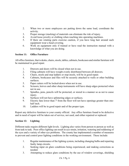- 2. When two or more employees are putting down the same load, coordinate the activity.
- 3. Proper storage (stacking) of materials can eliminate the risk of injury.
- 4. Avoid loose jewelry or clothing when reaching into operating machines.
- 5. If there are rotating parts exercise caution, if you have long hair around such equipment wear a head covering.
- 6. Work on equipment only if trained or have read the instruction manual with a knowledge of what you are doing.

#### **Section 11: Office Furniture**

All office furniture, that is desks, chairs, stools, tables, cabinets, bookcases and similar furniture will be maintained in good repair.

- 1. Drawers and doors will be closed when not in use.
- 2. Filing cabinets will have weight evenly distributed between all drawers.
- 3. Chairs, stools and step ladders or step-stools, will be in good repair.
- 4. Cabinets, bookcases and files will be securely attached to walls or other building surfaces.
- 5. Paper cutters will be locked-down when not in use.
- 6. Scissors, knives and other sharp instruments will have sharp edges protected when not in use.
- 7. Spindles, pens, pencils will be protected, or stored in a manner so as not to cause injury.
- 8. Surfaces will not have splintering edges or surfaces.
- 9. Electric fans lower than 7' from the floor will not have openings greater than onehalf inch.
- 10. Ladders will be in good repair and of the proper type.

Report any defective furniture to your county official. Any office furniture found to be defective and in need of repair will be taken out of service, not used, and either repaired or replaced.

### **Section 12: Lighting**

Different tasks require different light levels. Lighting also varies from person to person as well as from task to task. Poor office lighting can result in eye-strain, irritation, watering and reddening of the eyes and a variety of other eye problems. The county has implemented a number of measures to prevent and control poor lighting conditions in the working environment. These include:

- 1. Regular maintenance of the lighting system, including changing bulbs and repairing faulty lamp circuits.
- 2. Seeking input on glare conditions being experienced, and making corrections as needed.
- 3. Attempting to reduce glare conditions by the use of window coverings, shielding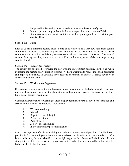lamps and implementing other procedures to reduce the source of glare.

- 4. If you experience any problem in this area, report it to your county official.
- 5. If you note any area, exterior or interior, with a lighting problem, report it to your county official.

### **Section 13: Noise**

Each of us has a different hearing level. Some of us will pick up a very low hum from certain equipment, whereas a co-worker may not hear anything. In the majority of instances the office equipment used is within the federally required standards for noise levels. However, if because of an acute hearing situation, you experience a problem in this area, please advise your supervising county official.

### **Section 14: Indoor Air Quality**

The county has attempted to provide the best working environment possible. In the past when upgrading the heating and ventilation systems, we have attempted to reduce indoor air pollutants and improve air quality. If you have any questions or concerns in this area, please advise your supervising county official.

### **Section 15: Workstation Ergonomics**

Ergonomics is, in one sense, the word replacing proper positioning of the body for work. However, it also includes proper placement of the materials and equipment necessary to carry out the daily functions of county government.

Common characteristics of working at video display terminals (VDT's) have been identified and associated with increased problems. Included are:

- 1. Workstation design
- 2. Job task
- 3. Repetitiveness of the job
- 4. Posture constraint
- 5. Pace of work
- 6. Job or Task Scheduling
- 7. Individual worker personal situation

One of the keys to comfort is maintaining the body in a relaxed, neutral position. The ideal work position is for the employee to have the arms relaxed and hanging from the shoulders. keyboard is used, the arms should be bent at right angles at the elbows, with the hands held in a straight line with the forearms and elbows close to the body. The head should be in line with the body and slightly bent forward.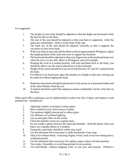It is suggested:

- 1. The height of your chair should be adjusted so that the thighs are horizontal while the feet are flat on the floor.
- 2. The rear of the seat should be adjusted so that your back is supported, while the knees are comfortable, relative to the front of the seat.
- 3. The back rest of the seat should be adjusted vertically so that it supports the curvature of your lower back.
- 4. With your arms at your side and the elbow joints at approximately 90 degrees, adjust the height/position of the chair arm rests to support the forearms.
- 5. The keyboard should be adjusted so that your fingers rest on the keyboard home row when the arm is to the side, elbow at 90 degrees, and wrist straight.
- 6. Keeping the wrist in a neutral position, with arm and hand close to the body, you should be able to use the mouse placed next to the keyboard.
- 7. Height of the screen should be at eye level and between 18" and 24" centered from the body.
- 8. For bifocal or tri-focal users, place the monitor at a height so that easy viewing can be achieved without tipping the head.
- 9. Reference documents should be placed next to the screen on a document holder and at the same distance from the eye.
- 10. A footrest should be used if the employee cannot comfortably rest his or her feet on the floor.

Other good office techniques can be implemented to reduce the risk of injury and improve work productivity. Included are:

- 1. Adjusting window coverings to reduce glare.
- 2. Move monitors away from sources of glare.
- 3. Tip monitors slightly downward to reduce glare.
- 4. Use diffusers on overhead lighting.
- 5. Use an anti-glare filter on the screen.
- 6. Clean the monitor screen on a regular basis.
- 7. Do not cradle a phone between the head and shoulder. Hold the phone with your hand, use a speaker phone or a headset.
- 8. Frequently used items should be within easy reach.
- 9. Use the minimum force necessary to strike keyboards of any type.
- 10. Take a five minute break, exercising fingers, wrists, neck every hour during heavy workload periods.
- 11. Use the minimum force necessary for staplers, paper cutters and hole punches.
- 12. Vary tasks, if possible, to avoid long periods in one position.
- 13. Use mini-breaks -without stopping work- to rest eyes and muscles. Perform a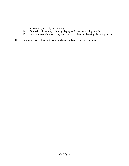different style of physical activity.

- 14. Neutralize distracting noises by playing soft music or turning on a fan.
- 15. Maintain a comfortable workplace temperature by using layering of clothing or a fan.

If you experience any problem with your workspace, advise your county official.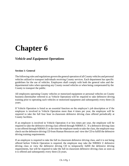# **Chapter 6**

### *Vehicle and Equipment Operations*

#### **Section 1: General**

The following rules and regulations govern the general operation of allCounty vehicles and personal vehicles utilized to transport individuals receiving County services. Each department has specific guidelines for the use of vehicles. Employees shall comply with both the general rules and the departmental rules when operating any County owned vehicles or when being compensated by the County to transport the public.

All employees operating County vehicles or motorized equipment or personal vehicles on County business (hereinafter referred to as Vehicle Operation) will be required to take defensive driving training prior to operating such vehicles or motorized equipment and subsequently every three (3) years.

If Vehicle Operation is listed as an essential function on the employee's job description or if the employee is involved in Vehicle Operation more than 4 times per year, the employee will be required to take the full four hour in-classroom defensive driving class offered periodically at County facilities.

If an employee is involved in Vehicle Operation 4 or less times per year, the employee will be required to take the defensive driving class offered through NIRMA U. If a defensive driving class is not offered through NIRMA U at the time the employee needs to take the class, the employee may check out the defensive driving CD from Human Resources and view the CD to fulfill the defensive driving training requirements.

If an employee is required to take the full in-classroom defensive driving class, and it is not being offered before Vehicle Operation is required, the employee may take the NIRMA U defensive driving class or view the defensive driving CD to temporarily fulfill the defensive driving requirements, but will be required to take the full in-classroom defensive driving class as soon as it is offered and subsequently every three (3) years.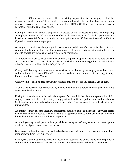The Elected Official or Department Head providing supervision for the employee shall be responsible for determining if the employee is required to take the full four hour in-classroom defensive driving class or is required to take the NIRMA U/CD defensive driving class in accordance with the guidelines above.

Nothing in the sections above shall prohibit an elected official or department head from requiring an employee to take the full in-classroom defensive driving class, even if Vehicle Operation is not listed as an essential function of their job description or even if they are involved in Vehicle Operation less than 4 times per year.

An employee must have the appropriate insurance and valid driver's license for the vehicle or equipment to be operated and must be in compliance with any restrictions listed on the license in order to operate any personal or County vehicle or equipment.

An employee who drives a County vehicle or who is required to operate a personal vehicle, even on an occasional basis, MUST adhere to the established requirements regarding an individual's driver's license as outlined in the Safety Manual.

County vehicles may not be operated at work or taken home by an employee without prior authorization of the Elected Official/Department Head and in accordance with the Sarpy County Policies and Procedures Manual.

County vehicles shall be used for County business only and not for any personal use or gain.

A County vehicle shall not be operated by anyone other than the employee it is assigned to without department head approval.

During the time the vehicle is under the employee's control, it shall be the responsibility of the employee to operate the vehicle safely, comply with all traffic and parking rules and regulations (including not smoking in the vehicle and wearing seatbelts) and to secure the vehicle when leaving it unattended.

An employee must call for a local law enforcement agency to come to the scene of any work-related vehicular accident immediately, even if there is no apparent damage. Every accident shall also be immediately reported to the employee's supervisor.

An employee may be held personally responsible for damage to a County vehicle if an investigation discloses negligence, carelessness or misuse.

Employees shall not transport non-work-related passengers in County vehicles at any time without prior approval from their supervisor.

Employees shall not attempt to make any mechanical repairs to the County vehicle unless properly authorized by the employee's supervisor or Fleet Services or unless assigned to such duties.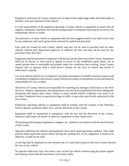Employees shall keep all County vehicles free of objects that might lodge under the brake pedal or interfere with safe operation of the vehicle.

It is the responsibility of the employee operating a County vehicle or equipment to ensure that all supplies, equipment, machines and vehicles being hauled or transported are properly secured to the transporting vehicle or trailer.

Any personal or County vehicle or equipment that has been tagged unsafe to use shall not be used by any employee until such tag has been removed by authorized personnel.

Fuel cards are issued for each County vehicle and may not be used to purchase fuel for other vehicles without prior department approval. In addition, the fuel card may not be used for any purchases other than fuel.

Equipment shall be operated in compliance with the law and the directives of the County. Equipment shall not be driven, or road tested at speeds in excess of the established speed limits, nor at speeds greater than is reasonable and prudent under the conditions then existing. Sarpy County requires that an operator hold a valid driver's license for the class of vehicle that he/she is authorized to operate.

Use of an official vehicle for an employee's personal convenience or benefit constitutes misuse and is prohibited.Employees whomisuseCounty vehicles are subject to disciplinary action and financial responsibility for any accident.

All drivers of County vehicles are responsible for reporting any damage or deficiency to the Fleet Services. Repairs, adjustments, and maintenance can only be accomplished if the driver adequately documents and reports these items. Failure to report unsafe vehicle conditions can result in an accident. Employees have no special privilege in traffic except when specifically authorized in the line of duty.

Employees operating vehicles or equipment shall be familiar with the contents of the Nebraska Drivers Manual, pertinent traffic laws, and the directives of the County.

Equipment shall be maintained in compliance with the law and the directives of the County. Operators shall report all unsafe or defective equipment to their Supervisors-

The painting and marking of equipment, tailgates, etc., shall be in accordance with the specifications of the County.

Operators shall keep all vehicles and equipment clean and in good operating condition. They shall perform daily inspection reports before leaving the parking area. If any equipment is found to be defective, it shall not be used.

A red flag shall be displayed on the extreme end of a load which projects four feet or more beyond the rear of any vehicle.

No operator shall start, stop, slow down, turn, or back his vehicle without using the proper signals and making certain that the movement can be done safely.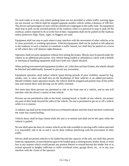On rural roads or in any area where parking lanes are not provided or where traffic warning signs are not erected, no vehicle shall be stopped opposite another vehicle within a distance of 100 feet. The drivers and passengers of such vehicles should not congregate in the traffic lane. No equipment shall stop or park on the traveled portion of the roadway when it is practical to stop or park off the roadway, unless required to do so in the line of duty. Equipment shall not be parked on the roadway unless protective flags, flares, signs, or flaggers are used.

Equipment shall not stop or park where it may interfere with the movement of other vehicles or be in close proximity to working operations. Vehicles/equipment shall not be parked or left adjacent to the roadway in such a manner to constitute a traffic hazard, nor shall they be parked on a curve or hill where they will obstruct sight distances.

Operators shall not park equipment without first setting the brakes. Blocks may be placed under the wheels as an additional precaution. Any vehicle being loaded or unloaded at a dock with a forklift or mechanical handling equipment shall have both rear wheels blocked.

When parking non-motorized equipment (trailers, etc.) that does not have brakes, the wheels should be blocked and additionally fastened to prevent any movement.

Equipment operators shall reduce vehicle speed during periods of poor visibility caused by fog, smoke, rain, or snow and shall turn on the headlamps of their vehicles as an added precaution. Should visibility make operation unsafe, the vehicle shall be stopped and parked clear of the traffic lane and remain there until driving can be safely resumed.

Not more than three persons are permitted to ride in the front seat of a vehicle, and no one will interfere with the driver's control of that vehicle.

Persons are not permitted to ride on the hood, running board, or fender of any vehicle, nor project any part of their body beyond the sides of the vehicle. No one is permitted to get on or off a vehicle while it is in motion.

A radiator cap shall not be removed from an overheated radiator until the motor has been cooled and the water has ceased boiling.

Vehicle doors shall be kept closed while the unit is in motion and shall not be left open while the vehicle is parked.

No one shall open the door of a motor vehicle on the side available to moving traffic unless and until it is reasonably safe to do so and it can be done without interfering with the movement of other traffic.

Drivers shall not permit vehicles to be loaded beyond the capacity of the unit, nor shall they permit material, equipment, or miscellaneous gear to be loaded upon a running board, fender, hood, or truck box in any manner which would permit any portion thereof to extend beyond the fender line or to extend upwards to heights sufficient to strike overhead wires, garage doors, etc.. or in any way interfere with the vision of the operator.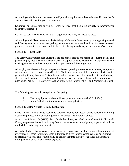An employee shall not start the motor on self-propelled equipment unless he is seated in the driver's seat and is certain that the gears are in neutral.

Equipment or tools carried on vehicles, when not used, shall be placed securely in compartments or otherwise fastened.

Do not use cold weather starting fluid. If engine fails to start, call Fleet Services.

All employees shall cooperate with the Building and Grounds Department by moving their personal and County vehicles to alternate parking locations when requested to do so for snow removal purposes. Failure to do so may result in the vehicle being towed away at the employee's expense.

#### **Section 2: Seat Belts**

The Sarpy County Board recognizes that the use of seat belts is one means of reducing deaths and personal injury should a vehicle accident occur.In support of vehicle restraints and to promote a safe working environment the County Board has approved the following policy.

All employees who are either passengers or who are operating a motor vehicle or heavy equipment with a rollover protection device (R.O.P.S. Cab) must wear a vehicle restraining device while performing County business. This policy includes personal, leased or rented vehicles which may also be used by employees. Violations of this policy will be considered as a 'failure to obey safety rules' under Article 1-14, Corrective Action of the Sarpy County Policies and Procedures Manual.

The following are the only exceptions to this policy:

- 1. Heavy equipment without rollover protection structure (R.O.P. S. Cab)
- 2. Motor Vehicles without vehicle restraining devices.

#### **Section 3: Motor Vehicle Records Evaluation**

Sarpy County, in an effort to reduce its potential liability for motor vehicle accidents involving County employees while on working hours, has written the following policy.

A motor vehicle records (MVR) check for the last three years shall be conducted initially on all County employees that will be driving County owned vehicles or equipment, or personal vehicles used while conducting County business.

An updated MVR check covering the previous three-year period will be conducted a minimum of every three (3) years for all employees authorized to drive County owned vehicles or equipment or personal vehicles. This will typically be done at the time the employee takes the defensive driving course, which is every three (3) years.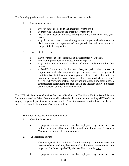The following guidelines will be used to determine if a driver is acceptable.

- 1. Questionable drivers
	- a. Two "at fault" accidents in the latest three-year period.
	- b. Four moving violations in the latest three-year period.
	- c. One "at fault" accident and three moving violations in the latest three-year period.
	- d. Any driver who has a past driving record or personal administrative disciplinary actions, regardless of time period, that indicates unsafe or irresponsible driving habits.
- 2. Unacceptable drivers
	- a. Three or more "at fault" accidents in the latest three-year period.
	- b. Five moving violations in the latest three-year period.
	- c. Any combination of "at fault" accidents and moving violations totaling five or over.
	- d. A DWI/DUI conviction in the latest five-year period when viewed in conjunction with the employee's past driving record or personal administrative disciplinary actions, regardless of time period, that indicates unsafe or irresponsible driving habits. Factors considered when reviewing a DWI/DUI conviction include, but are not limited to, blood alcohol level, circumstances surrounding the stop, and if the incident involved a motor vehicle accident or other reckless behavior.

The MVR will be evaluated against the criteria listed above. The Motor Vehicle Record Review Subcommittee of the Safety Committee will review the circumstances surrounding MVR's of those employees graded questionable or unacceptable. A written recommendation based on the facts will be presented to the employee's department head.

The following actions will be recommended:

- 1. Questionable drivers:
	- a. Appropriate action determined by the employee's department head as outlined in Section 6, Discipline of the Sarpy County Policies and Procedures Manual or the applicable union contract.
- 2. Unacceptable drivers:
	- a. The employee shall be prohibited from driving any County vehicle or any personal vehicle on County business until such time as that employee is no longer rated at "unacceptable" by the established criteria; and,
	- b. Appropriate action determined by the employee's department head as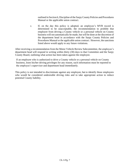outlined in Section 6, Discipline of the Sarpy County Policies and Procedures Manual or the applicable union contract.

c. If, on the day this policy is adopted, an employee's MVR record is determined to be unacceptable, the recommendation to prohibit that employee from driving a County vehicle or a personal vehicle on County business will not automatically be made, but will be done at the discretion of the department head in accordance with the Sarpy County Policies and Procedures Manual or the applicable union contract. However, the sanctions listed above would apply to any future violations.

After receiving a recommendation from the Motor Vehicle Review Subcommittee, the employee's department head will respond in writing within thirty (30) days to that Committee and the Sarpy County Board, outlining what action has been taken against the employee.

If an employee who is authorized to drive a County vehicle or a personal vehicle on County business, loses his/her driving privileges for any reason, such information must be reported to the employee's supervisor and department head immediately.

This policy is not intended to discriminate against any employee, but to identify those employees who would be considered undesirable driving risks and to take appropriate action to reduce potential County liability.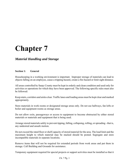# *Material Handling and Storage*

### **Section 1: General**

Housekeeping in a working environment is important. Improper storage of materials can lead to objects falling on an employee, cause a tripping hazard, create a fire hazard or limit sight distance.

All areas controlled by Sarpy County must be kept in orderly and clean condition and used only for activities or operations for which they have been approved. The following specific rules must also be followed:

Keep stairs, corridors and aisles clear. Traffic lanes and loading areas must be kept clear and marked appropriately.

Store materials in work rooms or designated storage areas only. Do not use hallways, fan lofts or boiler and equipment rooms as storage areas.

Do not allow exits, passageways or access to equipment to become obstructed by either stored materials or materials and equipment that is being used.

Arrange stored materials safely to prevent tipping, falling, collapsing, rolling, or spreading - that is, any undesired and unsafe motion.

Do not exceed the rated floor or shelf capacity of stored material for the area. The load limit and the maximum height to which material may be stacked should be posted. Segregate and store incompatible materials in separate locations.

Remove items that will not be required for extended periods from work areas and put them in storage. Call Building and Grounds for assistance.

Temporary equipment required for special projects or support activities must be installed so that it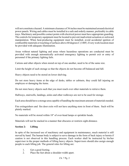will not constitute a hazard. A minimum clearance of 36 inches must be maintained around electrical power panels. Wiring and cables must be installed in a safe and orderly manner, preferably in cable trays. Machinery and possible contact points with electrical power must have appropriate guarding. The controls for temporary equipment must be located to prevent inadvertent actuation or awkward manipulation. When heat-producing equipment must be installed, avoid accidental ignition of combustible materials or touching of surfaces above 60 degrees C (140F). Every work location must be provided with adequate illumination.

Areas without natural lighting and areas where hazardous operations are conducted must be provided with enough automatically activated emergency lighting to permit exit or entry of personnel if the primary lighting fails.

Cartons and other objects when stored on top of one another, need to be of the same size.

Limit the height of such storage so that the objects do not become off-balanced and fall.

Heavy objects need to be stored on lower shelving.

Do not store heavy items at the edge of desks, tables or cabinets, they could fall injuring an employee or damaging the items.

Do not store heavy objects such that you must reach over other materials to retrieve them.

Hallways, stairwells, landings, aisles and other walkways are not to be used for storage.

Each area should have a storage area capable of handling the maximum amount of materials needed.

Fire extinguishers and fire door exits will not have anything store in front of them. Such will be plainly marked.

No materials will be stored within 18" of over-head lamps or sprinkler heads.

Materials will not be stacked in a manner that obscures or restricts sight-distance.

# **Section 2: Lifting**

In spite of the increased use of machinery and equipment in maintenance, much material is still moved by hand. The human body is subject to serve damage in the form of back injury or hernia if caution is not observed in this handling process. Each worker shall be instructed by his/her supervisor in the proper methods of lifting heavy objects. Supervisors should also assign enough people to each lifting job. The general rules for lifting are:

- 1. Get a good footing.
- 2. Place the feet about a shoulder-width apart.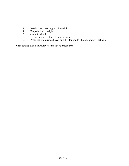- 3. Bend at the knees to grasp the weight.<br>4. Keep the back straight.
- Keep the back straight.
- 5. Get a firm hold.<br>6. Lift gradually by
- Lift gradually by straightening the legs.
- 7. When the wight is too heavy or bulky for you to lift comfortably get help.

When putting a load down, reverse the above procedures.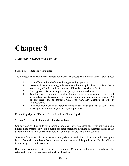# *Flammable Gases and Liquids*

### **Section 1: Refueling Equipment**

The fueling of vehicles or internal combustion engines requires special attention to these procedures:

- 1. Shut off the ignition before beginning refueling operations.
- 2. Avoid spillage by remaining at the nozzle until refueling has been completed. Never completely fill a fuel tank or container. Allow for expansion of the fuel.
- 3. Use approved dispensing equipment: pumps, hoses, nozzles, etc.
- 4. Smoking is not permitted within fueling areas or areas where vapors could accumulate: pits, depressions, etc. Fueling operations should be done in open air. All fueling areas shall be provided with Type **ABC** Dry Chemical or Type B Extinguishers.
- 5. If spillage should occur, an approved drying or absorbing agent shall be used. Do not wash spillage into sewers, cesspools, or septic tanks.

No smoking signs shall be placed prominently at all refueling sites.

### **Section 2: Use of Flammable Liquids and Gases**

Use only approved solvents for cleaning operations. Never use gasoline. Never use flammable liquids in the presence of welding, burning or other operations involving open flames, sparks or the generation of heat. Never use containers that do not positively identify the contents.

Whenever flammable substances are being used, adequate ventilation shall be provided. Never apply heat to flammable liquids or solvents unless the manufacturer of the product specifically indicates to what degree it is safe to do so.

Dispose of wiping rags, etc. in approved containers. Containers of flammable liquids shall be returned to proper storage areas at the close of each day.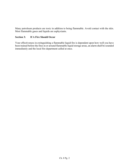Many petroleum products are toxic in addition to being flammable. Avoid contact with the skin. Most flammable gases and liquids are asphyxiants.

### **Section 3: If A Fire Should Occur**

Your effectiveness in extinguishing a flammable liquid fire is dependent upon how well you have been trained before the fires in or around flammable liquid storage areas, an alarm shall be sounded immediately and the local fire department called at once.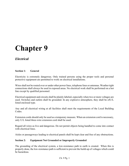# *Electrical*

## **Section 1: General**

Electricity is extremely dangerous. Only trained persons using the proper tools and personal protective equipment are permitted to work on electrical installations.

Wires shall not be routed over or under other power lines, telephone lines or antennas. Weather tight connections shall always be used in exposed areas. No electrical work shall be performed on a hot line except by qualified personnel.

Electrical equipment and circuits shall be plainly labeled, especially when two or more voltages are used. Switches and outlets shall be grounded. In any explosive atmosphere, they shall be ofU/L listed enclosed type.

Any and all electrical wiring at all facilities shall meet the requirements of the Local Building Codes.

Extension cords should only be used as a temporary measure. When an extension cord is necessary, only U/L listed three-wire extension cord shall be used.

Regard all wires as live and dangerous. Do not permit objects being handled to come into contact with electrical lines.

Aisles or passageways leading to electrical panels shall be kept clear and free of any obstructions.

## **Section 2: Equipment Not Grounded or Improperly Grounded**

The grounding of the electrical system, a low-resistance path to earth is created. When this is properly done, the low-resistance path is sufficient to prevent the build-up of voltages which could be hazardous.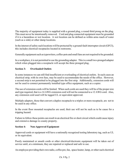The majority of equipment today is supplied with a ground plug, a round third prong on the plug. This must never be intentionally removed. Cord and plug connected equipment must be grounded if it is a hazardous or wet location. A wet location can be defined as within arms reach of water (such as a sink) or other damp locations.

In the interest of safety such locations will be protected by a ground-fault interrupter circuit (GFCI), this includes electrical receptacles located in restrooms.

Generally equipment such as typewriters, coffee-pots and small fans are not required to be grounded.

In a workplace, it is not permitted to use the grounding adapter. This is a small two-pronged adapter which when plugged into a receptacle will accept the three pronged plug.

## **Section 3: Overloaded Outlets**

In some instances we can still find insufficient or overloading of electrical outlets. In such cases an electrical strip, with its own fuse, may be used to accommodate the needs of the office. However, a second strip is not permitted to be plugged into the first strip. Additionally, extension cords will not be used to connect permanently installed type office equipment, such as a copier.

The use of extension cords will be limited. When such cords are used they will be of the proper size and type required, that is a 14 AWG extension cord will not be connected to a 12 AWG cord. Also, any extension cord used will be tagged UL or equivalent approved.

Multiple adapters, those that convert a duplex receptacle to a triplex or more receptacle, are not to be used in any office.

In the event floor mounted receptacles are used, their use will not be such as to be cause for a tripping hazard.

Failure to follow these points can result in an electrical fire or short circuit which could cause injury and extensive damage to county property.

## **Section 4: Non-Approved Equipment**

Approved cords or equipment will have a nationally recognized testing laboratory tag, such as UL or its equivalent.

Poorly maintained or unsafe cords or other electrical/electronic equipment will be taken out of service until, at a minimum, they are repaired or replaced and safe to use.

An employee providing their own radio, coffee pot, fan, space heater, lamp, or other such electrical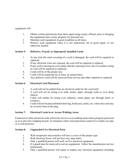equipment will:

- 1. Obtain written permission from their supervising county official, prior to bringing the equipment onto county property for personal use.
- 2. Maintain such equipment in good condition at all times.
- 3. Remove such equipment when it is not authorized, not in good repair, or not otherwise needed.

# **Section 5: Defective, Frayed, or Improperly Installed Cords**

- 1. At any time the outer covering of a cord is damaged, the cord will be repaired or replaced.
- 2. If any electrical wires are exposed, the cord will be repaired or replaced.
- 3. If any cord is missing its cover-plate, thereby exposing wires, the cover plate or plug or cord will be repaired or replaced.
- 4. Cords will be of the proper size.
- 5. Cords will be inspected on, at least, an annual basis.
- 6. Any defective cord will be removed from service and either repaired or replaced.

## **Section 6: Electrical Cord Placement**

- 1. A cord will not be pulled from an electrical outlet by the cord itself.
- 2. A cord will not be strung over nails, hooks, pipes, through walls or over sharp objects.
- 3. Cords will neither be strung over radiators, steam pipes, nor through doors or windows.
- 4. Cords will not be placed behind shelving, bookcases, desks, etc. where the cord may be severely bent at the plug.

# **Section 7: Electrical Cords in or Across Walking Areas**

Extension or other electrical cords will not be run in or over walking areas unless properly protected so as to prevent a tripping hazard. In situations where such placement cannot be avoided, use tape or a cord protector.

## **Section 8: Unguarded Live Electrical Parts**

- 1. Wall receptacles and switches will have a cover of the proper type.
- 2. Wall electrical boxes will not have any open holes.
- 3. Only a qualified person will work on live electrical equipment.
- 4. If a guard must be removed to service equipment, follow the manufactures service instructions.
- 5. Only a qualified person will repair or replace any electrical equipment including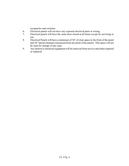receptacles and switches.

- 6. Electrical panels will not have any exposed electrical parts or wiring.
- 7. Electrical panels will have the outer door closed at all times except for servicing or use.
- 8. Electrical Panels will have a minimum of 36" of clear space to the front of the panel and 36" lateral clearance (measured from any point of the panel). This space will not be used for storage of any type.
- 9. Any defective electrical equipment will be removed from service and either repaired or replaced.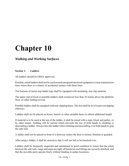# *Walking and Working Surfaces*

## **Section 1: Ladders**

All ladders should be OSHA approved.

Portable, metal ladders shall not be used around energized electrical equipment or near transmission lines where there is a chance of accidental contact with those lines.

The bottoms of metal step ladder legs shall be equipped with insulating, non-slip material.

The upper end of fixed or portable ladders shall extend not less than 36 inches above the platform floor, or other landing served.

Portable ladders shall be equipped with non-slipping bases. The feet shall be level to prevent tipping sideways.

Ladders shall not be placed on boxes, barrels or other unstable bases to obtain additional height.

If material is to be used at the top of the ladder, it shall be raised with a rope, block and pulley, or by other means. Nothing will be carried which prevents the use of both hands in climbing or descending a ladder. Always face the ladder when climbing and descending. Use both hands to grip the side rails.

A ladder shall not be placed in front of a doorway unless the door is locked, blocked or guarded.

After using a ladder, it shall be stowed so that it will not fall or be knocked over.

Ladders shall be frequently inspected and maintained in good condition to insure that the joints between the side rails, rungs and steps are tight; all hardware and fittings are securely attached; and that the movable parts operate freely without binding or undue looseness.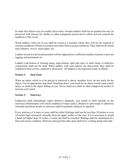In order that defects may be readily discovered, wooden ladders shall not be painted but may be preserved with linseed oil, shellac or other transparent preservatives which will not conceal the condition of the wood.

Wood ladders, when not in use shall be stored at a location where they will not be exposed to extreme conditions of heat or moisture and where there is good ventilation. They shall not be stored near radiators, stoves, steam pipes, etc.

Ladders stored in a horizontal position will be supported at a sufficient number of points to prevent sagging and permanent set.

Ladders with broken or missing rungs, steps broken, split side rails, or other faulty or defective construction shall not be used. When ladders with such defects are discovered, they shall be withdrawn from service, repaired or destroyed. All ladders to be inspected yearly in March.

## **Section 2: Step stools**

When an object which is to be placed or retrieved is above shoulder level, do not reach for the object. Use an appropriate step stool. Reaching above your head for an object would cause a back injury or result in the object falling on you. Never stand on a chair or other unapproved surface to increase your reach.

## **Section 3: Stairways**

Employees shall immediately report defective handrails, stair treads or other hazards on the stairways (Maintenance will check condition of steps yearly). Broken or split treads or otherwise seriously hazardous treads on stairways shall be properly replaced or repaired.

Every stairway of 4 risers or more shall be railed. Railings shall not be less than 30 inches or over 34 inches high, measured vertically from the upper surface of the riser. If it is necessary to install a hand rail higher than 34 inches, a center rail shall be installed. Railings shall be maintained in a firm and secure condition. Stairways having both sides open shall have a railing along each side.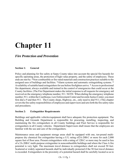# *Fire Protection and Prevention*

## **Section 1: General**

Policy and planning for fire safety at Sarpy County takes into account the special fire hazards for specific operating areas, the protection of high-value property, and the safety of employees. These ends are met by: \*Non-combustible or fire-rated materials and construction practices suitable to the assigned uses of buildings and facilities. \*Alarm systems and automatic extinguishing systems. \* Availability of suitable hand extinguishers for use before firefighters arrive. \* Access to professional fire department, always available and trained in the control of emergencies that could occur at the County facilities. (The Fire Department makes the initial response to all requests for emergency aid received on the emergency telephone number, 911. NOTE: When dialing the emergency telephone number, 911, within the Courthouse, Law Enforcement Center and Juvenile Justice Center, you must first dial a 9 and then 911. The County shops, Highway, etc., only need to dial 911.) This chapter covers the fire safety responsibilities of employees and supervisors and sets forth the fire safety rules and procedures.

### **Section 2: Extinguisher Requirements**

Buildings and applicable vehicles/equipment shall have adequate fire protection equipment. The Building and Grounds Department is responsible for procuring, installing, inspecting, and maintaining the fire extinguishers in all County buildings and Fleet Service is responsible for extinguishers in all County vehicles. Department Supervisors shall insure that the employees are familiar with the use and care of the extinguishers.

Maintenance areas and equipment storage areas shall be equipped with one, ten-pound multipurpose dry chemical fire extinguisher having a U/L rating of2A-20B:C or more for each 2,000 square feet of floor area. Present extinguishers with a rating of 12B:C or more may be used in lieu of a 2A-20B:C multi-purpose extinguisher in noncombustible buildings and where the Class A fire potential is very light. The maximum travel distance to extinguishers shall not exceed 50 feet. Scattered or widely separated hazards shall be individually protected if the 50 foot travel distance is exceeded. Extinguishers in the proximity of a potential hazard shall be carefully located so as to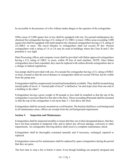be accessible in the presence of a fire without undue danger to the operator of the extinguisher.

Office areas of 3,000 square feet or less shall be equipped with one, five-pound multipurpose dry chemical fire extinguisher having a U/L rating of 1A-10B:C or more. Office areas exceeding 3,000 square feet shall be equipped with multi-purpose dry chemical extinguishers having a U/L rating of 2A-20B:C or more. The travel distance to extinguishers shall not exceed 50 feet. Present extinguishers with a rating of 1A or 2A may be used in buildings where the Class B and C fire potential is very light.

Data Processing offices and computer room shall be provided with Halon approved extinguishers having a U/L rating of 10B:C or more, within 50 feet of each machine. NOTE: Once Halon extinguishers have been expended, they must be replaced with carbon dioxide extinguishers due to a change in federal regulations.

Gas pumps shall be provided with one, five-pound fire extinguisher having a U/L rating of lOB:C or more, located so that the travel distance to extinguisher shall not exceed 100 feet, but be visible from the pump area.

Extinguishers shall be conspicuously located and immediately available. They shall be located along normal paths of travel. A "normal path of travel" is defined as "an aisle kept clear from one end of a building to the other".

Extinguishers having a gross weight of 40 pounds or less shall be installed so that the top of the extinguisher is not more than five feet above the floor. Those exceeding 40 pounds shall be mounted so that the top of the extinguisher is not more than 3 ½ feet above the floor.

Extinguishers shall be securely mounted on a wall bracket. The bracket shall have a red background in all maintenance areas, offices are exempt from the red background requirement.

## **Section 3: Inspection and Maintenance**

Extinguishers shall be inspected monthly to insure that they are in their designated places, that they have not been actuated or tampered with, and to detect any obvious damage, corrosion or other impairments. An extinguisher showing defects shall receive a complete maintenance check.

Extinguishers shall be thoroughly examined annually and if necessary, recharged, repaired or replaced.

Extinguishers removed for maintenance shall be replaced by spare extinguishers during the period that they are gone.

The best time to stop a fire is before it starts. Even though buildings are properly designed and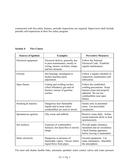constructed with fire-safety features, periodic inspections are required. Supervisors shall include periodic self-inspections in their fire safety program.

| <b>Sources of Ignition</b> | <b>Examples</b>                                                                                                              | <b>Preventive Measures</b>                                                                                                                     |
|----------------------------|------------------------------------------------------------------------------------------------------------------------------|------------------------------------------------------------------------------------------------------------------------------------------------|
| Electrical equipment       | Electrical defects, generally due<br>to poor maintenance, mostly in<br>wiring, motors, switches, lamps,<br>and hot elements. | Follow the National<br>Electrical Code. Establish<br>regular maintenance.                                                                      |
| Friction                   | Hot bearings, misaligned or<br>broken machine parts,<br>adjustment.                                                          | Follow a regular schedule of<br>inspection, maintenance and<br>lubrication.                                                                    |
| Open flames                | Cutting and welding torches<br>(chief offenders), gas and oil<br>burners, misuse of gasoline<br>torches.                     | Follow the established<br>welding precautions. Keep<br>burners clean and properly<br>adjusted. Do not use<br>combustibles near open<br>flames. |
| Smoking & matches          | Dangerous near flammable<br>liquids and in areas where<br>combustibles are used or stored.                                   | Smoke only in permitted<br>areas. Use prescribed<br>receptacles.                                                                               |
| Spontaneous ignition       | Oily waste and rubbish.                                                                                                      | Remove waste daily. Isolate<br>stored materials likely to heat<br>spontaneously.                                                               |
| Hot surfaces               | Exposure of combustibles<br>furnaces, hot ducts/flus or electric<br>lamps.                                                   | Provide ample clearance,<br>insulation and air circulation.<br>Check heating apparatus<br>before leaving it unattended.                        |
| Static electricity         | Dangerous in presence of<br>flammable vapors. Occurs where<br>liquid flows from pipes.                                       | Ground equipment. Use<br>static eliminators. Humidify<br>the atmosphere.                                                                       |

Fire door and shutter fusible links, automatic sprinkler water control valves and water pressure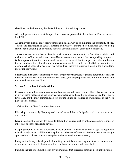should be checked routinely by the Building and Grounds Department.

All employees must immediately report fires, smoke or potential fire hazards to the Fire Department (dial 911).

All employees must conduct their operations in such a way as to minimize the possibility of fire. This means applying rules such as keeping combustibles separated from ignition sources, being careful about smoking, and avoiding needless accumulations of combustible materials.

Supervisors are responsible for keeping their operating areas safe from fire. The provision and maintenance of fire detection systems and both automatic and manual fire extinguishing equipment is the responsibility of the Building and Grounds Department. But the supervisor, who best knows the day-to-day nature of his/her operations, is responsible for notifying the Safety Committee of operations that change the degree of fire risk and will therefore require a change in the planned fire protection provisions.

Supervisors must ensure that their personnel are properly instructed regarding potential fire hazards involved in their work and around their workplaces, the proper precautions to minimize fires, and the procedures in case of fire.

# **Section 5: Class A Combustibles**

Class A combustibles are common materials such as wood, paper, cloth, rubber, plastics, etc. Fires in any of these fuels can be extinguished with water as well as other agents specified for Class A fires. They are the most common fuels to be found in non-specialized operating areas of the work place such as offices.

Safe handling of Class A combustibles means:

Disposing of waste daily. Keeping work area clean and free of fuel paths, which can spread a tire, once started.

Keeping combustibles away from accidental ignition sources such as hot plates, soldering irons, or other heat or spark-producing devices.

Keeping all rubbish, trash or other waste in metal or metal-lined receptacles with tight-fitting covers when in or adjacent to buildings. (Exception: wastebaskets of metal or of other material and design approved for such use, which are emptied each day, need not be covered.)

Using safe ash trays for disposal of smoking materials and making sure that the contents are extinguished and cold to the touch before emptying them into a safe receptacle.

Planning the use of combustibles in any operation so that excessive amounts need not be stored.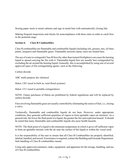Storing paper stock in metal cabinets and rags in metal bins with automatically closing lids.

Making frequent inspections and checks for noncompliance with these rules in order to catch fires in the potential stage.

## **Section 6: Class B Combustibles**

Class B combustibles are flammable and combustible liquids (including oils, greases, tars, oil-base paints, lacquers) and flammable gases. Flammable aerosols (spray cans) are treated here.

The use of water to extinguish Class B fires (by other than trained firefighters) can cause the burning liquid to spread carrying the fire with it. Flammable-liquid fires are usually best extinguished by excluding the air around the burning liquid. Generally, this is accomplished by using one of several approved types of fire-extinguishing agents, such as the following:

Carbon dioxide

ABC multi-purpose dry chemical

Halon 1301 (used in built-in, total-flood systems)

Halon 1211 (used in portable extinguishers)

NOTE: Future purchases of Halon are prohibited by federal regulations and will be replaced by carbon dioxide.

Fires involving flammable gases are usually controlled by eliminating the source of fuel, i.e., closing a valve.

Technically, flammable and combustible liquids do not bum. However, under appropriate conditions, they generate sufficient quantities of vapors to form ignitable vapor-air mixtures. As a general rule, the lower the flash point of a liquid, the greater the fire and explosion hazard. It should be noted that many flammable and combustible liquids also pose health hazards.

NOTE: The flash point of a liquid is the minimum temperature at which it gives off sufficient vapor to form an ignitable mixture with the air near the surface of the liquid or within the vessel used.

It is the responsibility of the user to ensure that all Class B Combustibles are properly identified, labeled, handled, and stored. If assistance is required, contact the Building and Grounds Department. Safe handling of Class B combustibles means:

Using only approved containers, tanks, equipment, and apparatus for the storage, handling, and use of Class B combustibles.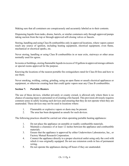Making sure that all containers are conspicuously and accurately labeled as to their contents.

Dispensing liquids from tanks, drums, barrels, or similar containers only through approved pumps taking suction from the top or through approved self-closing valves or faucets.

Storing, handling and using Class B combustibles only in approved locations, where vapors cannot reach any source of ignition, including heating equipment, electrical equipment, oven flame, mechanical or electrical sparks, etc.

Never storing, handling or using Class B combustibles in or near exits, stairways or other areas normally used for egress.

In rooms or buildings, storing flammable liquids in excess of 10 gallons in approved storage cabinets or special rooms approved for the purpose.

Knowing the locations of the nearest portable fire extinguishers rated for Class B fires and how to use them.

Never smoking, welding, cutting, grinding, using an open flame or unsafe electrical appliances or equipment, or otherwise creating heat that could ignite vapors near any Class B combustibles.

## **Section 7: Portable Heaters**

The use of these devices, whether privately or county owned, is allowed only where there is no chance of causing injury to personnel or of creating a fire hazard. This provision obviously requires common sense in safely locating such devices and ensuring that they do not operate when they are unattended. These devices may not be used in locations where:

- 1. Flammable or explosive vapors or dusts may be present.
- 2. The area has been designated as unsafe for such devices.

The following practices should be carried out when operating portable heating appliances:

- 1. Do not place the appliance on unstable or readily combustible materials.
- 2. Maintain a clearance of at least 12 inches between the appliance and combustible materials.
- 3. Ensure that the appliance is approved by either Underwriters Laboratories, Inc., or Factory Mutual Research Corporation.
- 4. Connect the appliance directly to a proper electrical outlet using only the cord with which it was originally equipped. Do not use extension cords in lieu of permanent wiring.
- 5. Do not operate the appliances during off hours if they are unattended.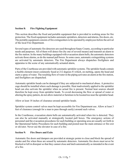# **Section 8: Fire Fighting Equipment**

This section describes the fixed and portable equipment that is provided in working areas for fire protection. The fixed equipment includes automatic sprinklers, detectors and alarms, fire doors, etc. The portable equipment consists of fire extinguishers to be operated by employees before the arrival of the local Fire Department.

Several types of automatic fire detectors are used throughout Sarpy County, according to particular needs and purposes. All of them will detect fire (by one of several means) and transmit an alarm to the fire station. In the many buildings equipped with evacuation alarm bells, the automatic detectors activate those alarms, as do the manual pull boxes. In some cases, automatic extinguishing systems are activated by automatic detectors. The Fire Department always dispatches firefighters and apparatus to the scene of any automatically actuated alarm,

Parts of the Courthouse are provided with automatic sprinkler systems. The sprinkler heads contain a fusible element (most commonly fused at 212 degrees F) which, on melting, opens the head and starts a spray of water. The resulting flow of water in the piping activates an alarm at the fire station, and firefighters are dispatched.

Automatic sprinkler heads can be damaged if they are subjected to mechanical abuse. A protective cage should be installed where such damage is possible. Heat inadvertently applied to the sprinkler head can also activate the sprinkler when no actual fire is present. Normal heat sources should therefore be kept away from sprinkler heads. To avoid decreasing the flow or spread of water or altering the spray pattern, do not allow material or furniture to be located too near the sprinkler head.

Allow at least 18 inches of clearance around sprinkler heads.

Sprinkler system control valves must be kept accessible for Fire Department use. Allow at least 3 feet of clearance (enough for a man to pass through easily) around such valves.

In the Courthouse, evacuation alarm bells are automatically activated when tire is detected. They can also be activated manually at strategically located pull boxes. The emergency actions of personnel and the evacuation procedures for each building or operating area are usually set forth in the Operational Safety Procedures for each building and posted near the main entrance or fire exit or elevator. Never use the elevator in case of a fire.

# **Section 9: Fire Doors and Exits**

Automatic fire doors and dampers are provided at strategic points to close and block the spread of smoke and fire when these are sensed by automatic detectors. Automatic fire doors must never be blocked or left in disrepair so that they cannot close and latch automatically as intended in the event of a fire.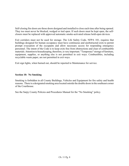Self-closing fire doors are those doors designed and installed to close each time after being opened. They too must never be blocked, wedged or tied open. If such doors must be kept open, the selfclosers must be replaced with approved automatic smoke-activated release hold-open devices.

Exit corridors must not be used for storage. The Life Safety Code, NFPA 101, requires that buildings designed for human occupancy must have continuous and unobstructed exits to permit prompt evacuation of the occupants and allow necessary access for responding emergency personnel. The intent of the Code is to keep exits free from obstructions and clear of combustible materials. Attention to housekeeping, therefore, is very important. "Temporary" storage of furniture, equipment, supplies, or anything else is not permitted in exit ways. Combustibles, including recyclable waste paper, are not permitted in exit ways.

Exit sign lights, when burned out, should be reported to Maintenance for service.

### **Section 10: No Smoking**

Smoking is forbidden in all County Buildings, Vehicles and Equipment for fire safety and health reasons. There is a designated smoking area located outside the double doors in the southeast corner of the Courthouse.

See the Sarpy County Policies and Procedures Manual for the "No Smoking" policy.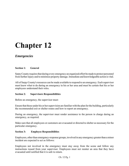# *Emergencies*

### **Section 1: General**

Sarpy County requires that during every emergency an organized effort be made to protect personnel from further injury and to minimize property damage. Immediate and knowledgeable action is vital.

All of Sarpy County's resources can be made available to respond to an emergency. Each supervisor must know what to do during an emergency in his or her area and must be certain that his or her employees understand their roles.

### **Section 2: Supervisors Responsibilities**

Before an emergency, the supervisor must:

Ensure that those under his or her supervision are familiar with the plan for the building, particularly the recommended exit or shelter routes and how to report an emergency.

During an emergency, the supervisor must render assistance to the person in charge during an emergency, as required.

Make sure that all employees or customers are evacuated or directed to shelter as necessary for the particular emergency.

### **Section 3: Employee Responsibilities**

Employees, other than emergency-response groups, involved in any emergency greater than a minor incident are expected to act as follows:

Employees not involved in the emergency must stay away from the scene and follow any instructions issued from your supervisor. Employees must not reenter an area that they have evacuated until notified that it is safe to return.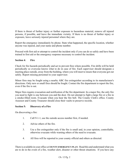If there is threat of further injury or further exposure to hazardous material, remove all injured persons, if possible, and leave the immediate vicinity. If there is no threat of further injury or exposure, leave seriously injured personnel where they are.

Report the emergency immediately by phone. State what happened, the specific location, whether anyone was injured, and your name and phone number.

Proceed with first aid or attempt to control the incident only if you can do so safely and have been trained in first aid or the emergency response necessary to control the incident.

## **Section 4: Fire**

Check for fire hazards periodically and act to prevent fires where possible. Fire drills will be held periodically so everyone knows what to do in case of fire. Each supervisor should designate a meeting place outside, away from the building, where you will meet to insure that everyone got out safely. Report missing personnel to your supervisor.

Minor fires may be fought using a nearby ABC fire extinguisher according to its manufacturer's directions. Only new or small fires should be fought. Contact the fire department to report the fire, even if the fire is out.

Major fires require evacuation and notification of the fire department. In a major fire, the only fire you need to fight is one between you and the door. Do not attempt to fight a large fire or a fire in a smoke-filled room. Evacuate when you hear the fire bell. The County Clerk's office. County Assessor and County Treasurer should close their vaults to preserve records.

## **Section 5: Discovery of a Fire**

On discovering a fire:

- 1. Call 9-1-1, use the outside access number first, if needed.
- 2. Advise others of the fire.
- 3. Use a fire extinguisher only if the fire is small and, in your opinion, controllable, otherwise evacuate while warning others of the need to evacuate.
- 4. All fires will be reported to your county official and others as directed.

There is available in your office a **COUNTY EMERGENCY PLAN**. Read this and understand what you are to do in the event of a fire, weather alert, disaster or other threat situations. If you have any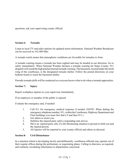questions, ask your supervising county official.

### **Section 6: Tornado**

Listen to local TV and radio stations for updated storm information. National Weather Broadcasts can be received on 162.400 Mhz.

A tornado watch means that atmospheric conditions are favorable for tornados to form.

A tornado warning means a tornado has been sighted and may be headed in our direction. Go to safety immediately. When National Weather declares a tornado warning for Sarpy County, 911 dispatch will sound the high pitched internal tornado warning. The basement, located under the north wing of the courthouse, is the designated tornado shelter. Follow the posted directions on your bulletin board to reach the basement shelter.

Periodic tornado drills will be conducted so everyone knows what to do when a tornado approaches.

### **Section 7: Injury**

Report workplace injuries to your supervisor immediately.

If an employee or member of the public is injured:

Evaluate the emergency and, if needed:

- 1. Call 911 for emergency medical response if needed. (NOTE: When dialing the emergency telephone number, 911, within the Courthouse, Highway Department and Fleet buildings you must first dial a 9 and then 911.)
- 2. Get others to assist you.
- 3. Stabilize the injured party until a responding unit arrives.
- 4. Move an injured party only if a life-threatening situation is present to both you and the injured person.
- 5. All injuries will be reported to your county official and others as directed.

### **Section 8: Civil Disturbance**

In a situation which is developing slowly and deliberately, courthouse officials may operate out of their regular offices during the preliminary or negotiating phase. Calling in directors, as required, and routinely circulating information to departments concerned.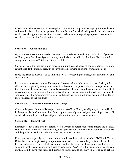In a situation where there is a sudden eruption of violence accompanied perhaps by attempted arson and assaults, law enforcement personnel should be notified which will provide the information needed to make appropriate decisions. Consider early release or requesting employees to stay home. An effective notification/recall system is a must.

## **Section 9: Chemical Spills**

If you witness a hazardous materials accident, spill or release immediately contact 911. If you hear an Emergency Broadcast System warning on television or radio for this immediate area, follow emergency response official instructions carefully.

Stay away from the incident site in order to minimize your chances of contamination. If you are caught outside the incident area, try to stay upstream, upwind and uphill from an incident.

If you are asked to evacuate, do so immediately. Before leaving the office, close all windows and shut off vents.

In certain circumstances, you will be requested to stay indoors rather than evacuate. Strictly follow all instructions given by emergency authorities. To reduce the possibility of toxic vapors entering the office, seal all entry routes as efficiently as possible. Close and lock the windows and doors. Seal gaps around windows, air conditioning units and under doorways with wet towels and duct tape. If warned of possible outdoor explosion, close all drapes, curtains and blinds. Remain in the interior protected areas of the buildings.

## **Section 10: Mechanical Failure/Power Outage**

Commercial power failure will disrupt power in most offices. Emergency lighting is provided in the hallways and for the Communications Center by automatically switched generators. Supervisors will decide when to release employees if power does not resume in a reasonable time.

## **Section 11: Bomb Threat**

Experience shows that over 95 percent of all written or telephoned bomb threats are hoaxes. However, given the chance of authenticity, appropriate action should be taken to protect employees and the public, as well as to safely recover the suspected device.

Employees who regularly take phone calls should be familiar with the attached FBI Bomb Threat Data Checklist and begin asking the questions indicated. It is not as unlikely that the caller will give his/her address as you may think. According to the FBI, many of these callers are looking for someone to talk to and a simple ruse such as suggesting, "We'll have the manager get back to you on that. Could I have your name and number so he/she can do so," may be all it takes to get the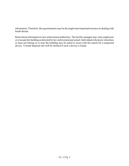information. Therefore, this questionnaire may be the single most important resource in dealing with bomb threats.

Relay threat information to law enforcement authorities. The facility manager may warn employees or evacuate the building as directed by law enforcement personnel. Individuals who know what does or does not belong in or near the building may be asked to assist with the search for a suspected device. A bomb disposal unit will be notified if such a device is found.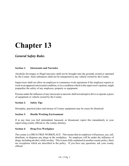# *General Safety Rules*

## **Section 1: Intoxicants and Narcotics**

Alcoholic beverages or illegal narcotics shall not be brought onto the grounds owned or operated by the County. Such substances shall not be transported in any vehicle owned by the County.

Supervisors shall not allow an employee to commence work operations if the employee reports to work in an apparent intoxicated condition, or in a condition which in the supervisor's opinion, might jeopardize the safety of any employee, property or equipment.

Persons under the influence of any intoxicant or narcotic shall not attempt to drive or operate a piece of equipment or vehicle owned by the County.

## **Section 2: Safety Tips**

Horseplay, practical jokes and misuse of County equipment may be cause for dismissal.

### **Section 3: Hostile Working Environment**

If at any time you feel intimidated, harassed, or threatened, report this immediately to your supervising county official or, the county attorney.

### **Section 4: Drug Free Workplace**

The county is a DRUG FREE WORKPLACE. This means that no employee will possess, use, sell, distribute, or dispense any drugs in the workplace. No employee will be under the influence of drugs, including alcohol, while on duty. This is more fully explained in another county policy, there are exceptions which are described in the policy. If you have any questions, ask your county official.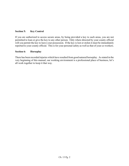## **Section 5: Key Control**

If you are authorized to access secure areas, by being provided a key to such areas, you are not permitted to loan or give the key to any other person. Only where directed by your county official will you permit the key to leave your possession. If the key is lost or stolen it must be immediately reported to your county official. This is for your personal safety as well as that of your co-workers.

### **Section 6: Horseplay**

There has been recorded injuries which have resulted from good natured horseplay. As stated in the very beginning of this manual, our working environment is a professional place of business, let's all work together to keep it that way.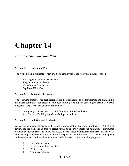# *Hazard Communication Plan*

## **Section 1: Location of Plan**

The written plan is available for review by all employees at the following central location:

Building and Grounds Department Sarpy County Courthouse 1210 Golden Gate Drive Papillion. NE 68046

### **Section 2: Designated Personnel**

The following employee has been designated as the person responsible for updating and maintaining the hazard communication program, employee training, labeling, and ensuring Material Safety Data Sheets (MSDS) forms are obtained/maintained:

Emergency Management \* Hazard Communication Coordinator Ken Petersen, Building and Grounds Superintendent

## **Section 3: Updating and Evaluating**

At least once a year the designated Hazard Communication Program Coordinator (HCPC) will review the program and update its effectiveness to ensure it meets the minimum requirements outlined by the standard. The HCPC will assess the hazardous chemicals and materials in each work area, develop policies and implement this written plan on a continuous basis. The HCPC will update and evaluate each of the following elements of this hazard communication program.

- 1. Hazard assessment
- 2. Assess applicable regulations
- 3. Written plan
- 4. Company policies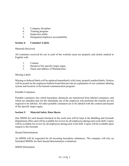- 5. Company discipline
- 6. Training program
- 7. Inspection audits
- 8. Designated employee accountability

## **Section 4: Container Labels**

### Materials Received

All containers received for use in each of the worksite areas are properly and clearly marked in English with:

- 1. Content
- 2. Hazard of the specific target organ
- 3. Name and address of Manufacturer

### Missing Labels

Missing or defaced labels will be replaced immediately with clean, properly marked labels. Notices will be posted on the employee bulletin board that provide an explanation of our container labeling system and location of the hazard communication program.

### Portable Containers

Portable containers into which hazardous chemicals are transferred from labeled containers, and which are intended only for the immediate use of the employee who performs the transfer are not required to be labeled. All other portable containers are to be labeled with the content and hazard of the specific target organ.

## **Section 5: Material Safety Data Sheets**

One MSDS for each hazard chemical in the work area will be kept at the Building and Grounds Department office and will be available for review by all employees during each work shift. Copies will be available for review by all employees during each work shift. Copies will be available upon request to the foreman.

Hazard Determination

An MSDS will be requested for all incoming hazardous substances. The company will rely on furnished MSDSs for their hazard determination evaluations.

## MSDS Information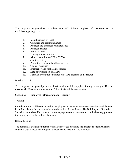The company's designated person will ensure all MSDSs have completed information on each of the following categories:

- 1. Identities used on label
- 2. Chemical and common names
- 3. Physical and chemical characteristics
- 4. Physical hazards
- 5. Health hazards
- 6. Primary routes of entry
- 7. Air exposure limits (PELs, TLVs)
- 8. Carcinogenicity
- 9. Precautions for safe handling and use
- 10. Control measures
- 11. Emergency and first aid procedures
- 12. Date of preparation of MSDS
- 13. Name/address/phone number of MSDS preparer or distributor

### Missing MSDS

The company's designated person will write and or call the suppliers for any missing MSDSs or missing MSDS category information. All contacts will be documented.

## **Section 6: Employee Information and Training**

## Training

Periodic training will be conducted for employees for existing hazardous chemicals and for new hazardous chemicals which may be introduced into the work area. The Building and Grounds Superintendent should be contacted about any questions on hazardous chemicals or suggestions for training needed hazardous chemicals.

## Record keeping

The company's designated trainer will ask employees attending the hazardous chemical safety course to sign a sheet verifying his attendance and receipt of the handbook.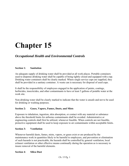# *Occupational Health and Environmental Controls*

## **Section 1: Sanitation**

An adequate supply of drinking water shall be provided at all work places. Portable containers used to dispense drinking water shall be capable of being tightly closed and equipped with a tap. Drinking water containers shall be clearly marked. Where single service cups are supplied, they shall be provided in a sanitary container. A waste can is necessary for disposal of used cups.

It shall be the responsibility of employees engaged in the application of paints, coatings, herbicides, insecticides, and other contaminants to have at least 5 gallons of potable water at the work site.

Non-drinking water shall be clearly marked to indicate that the water is unsafe and not to be used for drinking or washing purposes.

## **Section 2: Gases, Vapors, Fumes, Dusts, and Mists**

Exposure to inhalation, ingestion, skin absorption, or contact with any material or substance above the threshold limits for airborne contaminants shall be avoided. Administrative or engineering controls shall first be utilized, whenever feasible. When controls are not feasible, protective equipment shall be used to keep exposure to air contaminants within acceptable limits.

### **Section 3: Ventilation**

Whenever harmful dusts, fumes, mists, vapors, or gases exist or are produced by the maintenance work in quantities likely to be harmful to employees, and prevention or elimination of such hazards is not practicable, the hazards shall be controlled by general ventilation, local exhaust ventilation or other effective means continually during the operation as is necessary to insure removal of the harmful elements.

### **Section 4: Silica Dust**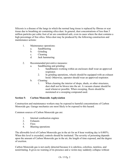Silicosis is a disease of the lungs in which the normal lung tissue is replaced by fibrous or scar tissue due to breathing air containing silica dust. In general, dust concentrations of less than 5 million particles per cubic foot of air are considered safe, even in cases where the dust contains a high percentage of free silica. Silica dust may be produced by the following construction and maintenance actions:

- 1. Maintenance operations:
	- a. Sandblasting
	- b. Grinding
	- c. Cleaning
	- d. Jack hammering
- 2. Recommended preventive measures:
	- a. Sandblasting and grinding:
		- 1. Sandblasters working within an enclosure shall wear an approved respirator.
		- 2. In grinding operations, wheels should be equipped with an exhaust hood. Otherwise, operator should wear an approved respirator.
	- b. Cleaning:
		- 1. When cleaning the interior of shops, sheds, or other structures, dust shall not be blown into the air. A vacuum cleaner should be used whenever possible. When sweeping, floors should be moistened or a sweeping compound used.

# **Section 5: Carbon Monoxide Asphyxiation**

Construction and maintenance workers may be exposed to harmful concentrations of Carbon Monoxide gas. Garage mechanics are most likely to be exposed to this hazard.

Common sources of Carbon Monoxide gas are:

- 1. Internal combustion engines
- 2. Exhausts
- 3. Fires
- 4. Blasting operations

The allowable level of Carbon Monoxide gas in the air for an 8 hour working day is 0.005%. When this level is exceeded, controls should be instituted. The severity of poisoning depends upon the amount of Carbon Monoxide gas in the air, the length of time exposed, and the degree of exertion.

Carbon Monoxide gas is not easily detected because it is odorless, colorless, tasteless, and nonirritating. It gives no warning of its presence and a victim may suddenly collapse without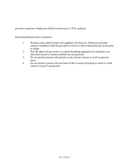previous symptoms. Employees shall be instructed in C.P.R. methods.

Recommended preventive measures:

- 1. Working areas shall be kept well supplied with fresh air. Whenever possible, exhaust ventilation shall be provided to remove Carbon Monoxide gas at the point of origin.
- 2. Provide approved gas masks or oxygen-breathing apparatus for emergency use and where positive exhaust methods are not practical.
- 3. Do not permit persons with anemia or any chronic disease to work in gaseous areas.
- 4. Do not permit a person who has been ill due to acute poisoning to return to work without a doctor's permission.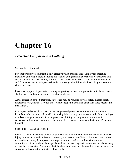# *Protective Equipment and Clothing*

## **Section 1: General**

Personal protective equipment is only effective when properly used. Employees operating machines, climbing ladders, handling material, or doing manual labor should wear clothes that are reasonably snug, particularly about the neck, wrists, and ankles. There should be no loose cuff flaps or strings. Employees assigned to shop or yard activities shall wear long trousers and a shirt at all times.

Protective equipment, protective clothing, respiratory devices, and protective shields and barriers shall be used and kept in a sanitary, reliable condition.

At the discretion of the Supervisor, employees may be required to wear safety glasses, safety fluorescent vest, and/or safety toe shoes while engaged in activities other than those specified in this Manual.

Employees and supervisors shall insure that personal protective equipment is worn where hazards may be encountered capable of causing injury or impairment to the body. If an employee avoids or disregards an order to wear protective clothing or equipment required on a job, corrective or disciplinary action may be administered in accordance with the County Personnel Manual.

### **Section 2: Head Protection**

It shall be the responsibility of each employee to wear a hard hat when there is danger of a head injury or when a supervisor deems it necessary for prevention of injury. Since hard hats are not required at all times, the employee and supervisor must evaluate each work situation to determine whether the duties being performed and the working environment warrant the wearing of hard hats. Corrective Action may be taken by a supervisor for abuse of the following specified activities that require the protection of hard hats: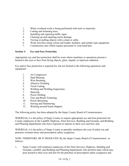- 1. When overhead work is being performed with tools or materials.
- 2. Cutting and trimming trees.
- 3. Installing and repairing traffic signs.
- 4. Cleaning up and repairing storm damage.
- 5. Towing or pulling objects with a chain or cable.
- 6. Work activities using a front end loader, backhoe, and similar type equipment.
- 7. Construction sites which require personnel to wear hard hats.

## **Section 3: Eye and Face Protection**

Appropriate eye and face protection shall be worn where machines or operations present a hazard to the eyes or face from flying objects, glare, liquids, or injurious radiation.

Eye and/or face protection is required for, but not limited to the following operations and equipment:

- 1. Air Compressor
- 2. Sand Blasting
- 3. Wire Brushing
- 4. Abrasive Grinding
- 5. Torch Cutting
- 6. Welding and Welding Inspections
- 7. Spraying
- 8. Power Drilling
- 9. Tree and Brush Trimming
- 10. Power Brooming
- 11. Sawing and Hammering
- 12. Working around brush chippers

The following policy has been adopted by the Sarpy County Board of Commissioners:

WHEREAS, it is the policy of Sarpy County to require appropriate eye and foot protection for County employees in the Landfill, Highway, Fleet Services, Building and Grounds, and Building and Planning departments who have exposure to injuries to their eyes and feet; and,

WHEREAS, it is the policy of Sarpy County to partially reimburse the cost of safety toe and puncture resistant shoes and prescription safety eyeglasses.

NOW, THEREFORE, BE IT RESOLVED, By the Sarpy County Board of Commissioners as follows:

1. Sarpy County will reimburse employees of the Fleet Services, Highway, Building and Grounds, Landfill, and Building and Planning departments who perform tasks which may pose hazard to their eyes and feet for the purchase of prescription safety eyeglasses and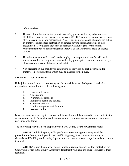safety toe shoes.

- 2. The rate of reimbursement for prescription safety glasses will be up to but not exceed \$150.00 and may be paid once every two years UNLESS employee experiences a change of vision requiring a new prescription. Also, if during performance of authorized duties an employee experiences destruction or damage beyond reasonable repair to their prescription safety glasses they may be replaced without regard for the normal reimbursement period upon appropriate approval of the Department Head or Elected Official.
- 3. The reimbursement will be made to the employee upon presentation of a paid invoice which shows that the eyeglasses contained safety prescription lenses and shows the type of lenses (single vision, bifocals or trifocals).
- 4. Non-prescription eye shields will continue to be provided by each department for employees performing tasks which may be a hazard to their eyes.

## **Section 4: Foot Protection**

If the job requires foot protection, safety toe shoes shall be worn. Such protection shall be required for, but not limited to the following jobs:

- 1. Yard maintenance.
- 2. Construction.
- 3. Warehouse operations.
- 4. Equipment repair and service.
- 5. Carpentry activity.
- 6. Moving equipment and furniture.
- 7. Assessor duties

New employees who are required to wear safety toe shoes will be required to do so on their first day of employment. This includes all types of employees, probationary, temporary, permanent, part time, or full time.

The following policy has been adopted by the Sarpy County Board of Commissioners:

WHEREAS, it is the policy of Sarpy County to require appropriate eye and foot protection for County employees in the Landfill, Highway, Fleet Services, Building and Grounds, and Building and Planning departments who have exposure to injuries to their eyes and feet; and,

WHEREAS, it is the policy of Sarpy County to require appropriate foot protection for County employees in the County Assessor's department who have exposure to injuries to their feet; and,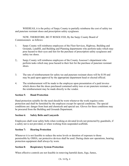WHEREAS, it is the policy of Sarpy County to partially reimburse the cost of safety toe and puncture resistant shoes and prescription safety eyeglasses.

NOW, THEREFORE, BE IT RESOLVED, By the Sarpy County Board of Commissioners as follows:

- 1. Sarpy County will reimburse employees of the Fleet Services, Highway, Building and Grounds, Landfill, and Building and Planning departments who perform tasks which may pose hazard to their eyes and feet for the purchase of prescription safety eyeglasses and safety toe shoes.
- 2,. Sarpy County will reimburse employees of the County Assessor's department who perform tasks which may pose hazard to their feet for the purchase of puncture resistant shoes.
- 3. The rate of reimbursement for safety toe and puncture resistant shoes will be \$150 and may be paid upon approval by the appropriate department head or elected official.
- 4. The reimbursement will be made to the employee upon presentation of a paid invoice which shows that the shoes purchased contained safety toes or are puncture resistant, or the reimbursement may be made directly to the vendor.

## **Section 5: Hand Protection**

Hand protection suitable for the need should be worn whenever the work requires extra protection and shall be furnished by the employee except for special conditions. The special conditions are: danger from heat and chemicals and special use. Gloves for these conditions may be procured from the Building and Grounds Department.

## **Section 6: Safety Belts and Lanyards**

Employees shall wear safety belts when working at elevated levels not protected by guardrails, if a safety net is not provided, or when working from suspended scaffolds.

# **Section 7: Hearing Protection**

Whenever it is not feasible to reduce the noise levels or duration of exposure to those permissible by OSHA, ear protective devices shall be used. During chain saw operations, hearing protection equipment shall always by worn.

## **Section 8: Respiratory System Protection**

When effective controls are not feasible in removing harmful dusts, fogs, fumes,

## Ch. 16 Pg. 4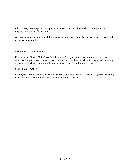mists, gases, smoke, sprays, or vapors from a work area, employees shall use appropriate respirators to protect themselves.

An organic vapor respirator shall be worn when spraying chemicals. The user shall be instructed in the use of respirators.

#### **Section 9: Life Jackets**

Employees shall wear U.S. Coast Guard approved buoyant protective equipment at all times while working on or over streams, rivers or other bodies of water, where the danger of drowning exists, except when guardrails, safety nets, or safety belts and lifelines are used.

#### **Section 10: Other**

Employees working around skin irritant materials such as detergents, creosote, tar, grease, insulating materials, etc., are required to wear suitable protective garments.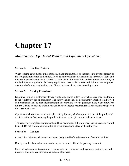### *Maintenance Department Vehicle and Equipment Operations*

#### **Section 1: Loading Trailers**

When loading equipment on tilted trailers, place unit on trailer so that fifteen to twenty percent of the weight is transferred to the hitch. Hook up safety chain at hitch and make sure trailer lights and brakes are properly connected. Check tie down chains for weak links and secure the unit tightly to the bed. Use strong chains for heavy equipment. Test trailer brakes and lights to assure proper operation before leaving loading site. Check tie down chains after traveling a mile.

#### **Section 2: Towing Procedures**

Equipment which is customarily towed shall not be towed unless safety chains are used in addition to the regular tow bar or connector. The safety chains shall be permanently attached to all towed equipment and shall be of sufficient strength to control the towed equipment in the event of tow bar failure. Chains, hooks and attachments shall be kept in good repair and shall be constantly inspected for weakened areas.

Operators shall not tow a vehicle or piece of equipment, which requires the use of the pintle hook or hitch, without first securing the pintle with wire, cotter pin or other adequate means.

The use of polypropylene tow ropes should be discouraged. If they are used, extreme caution should be used. Do not wrap rope around frame or bumper, sharp edges will cut the rope.

#### **Section 3: Loaders**

Lower all attachments (blade or bucket) to the ground before dismounting from the machine.

Don't get under the machine unless the engine is turned off and the parking brake set.

Make all adjustments (grease and repairs) with the engine off and hydraulic systems not under pressure, except where instructions indicate otherwise.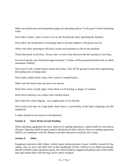Make sure all pressure and temperature gages are operating and are "in the green" before beginning work.

Don't allow chains, ropes or tools to lie on the floorboards when operating the machine.

Don't allow the floorboards or mounting steps to become slippery with grease and oil.

Allow only those passengers who have secure seat positions to ride on the machine.

Watch directions at all times. Always face or look in the direction that the machine is traveling.

For travel speeds, raise the bucket approximately 15 inches off the ground and pitch back to afford maximum visibility.

Don't travel with a loader bucket raised more than 3 feet off the ground except when approaching the hauling unit or dump point.

Don't make sudden brake stops with a raised or loaded bucket.

Make sure the bucket does not pass over anyone.

Don't drive close to bank edges where there is soft footing or danger of collapse.

Don't travel sideways on a slope with a bucket raised.

Don't spin tires when digging - use a higher gear or less throttle.

Don't load at the base of a high bank where there is a possibility of the bank collapsing onto the equipment.

Loaders should not be used as work platforms.

#### **Section 4: Snow Removal and Sanding**

When operating equipment for snow removal or sanding operations, caution shall be exercised at all times. Operators shall not spray sand or chemicals on other vehicles. Snow or sanding operations shall be in compliance with this Manual and other directives issued by the County.

#### **Section 5: Other**

Equipment operators shall reduce vehicle speed during periods of poor visibility caused by fog, smoke, rain, or snow and shall turn on the headlamps of their vehicles as an added precaution. Should visibility make operation unsafe, the vehicle shall be stopped and parked clear of the traffic lane and remain there until driving can be safely resumed.

#### Ch. 17 Pg. 2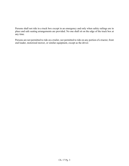Persons shall not ride in a truck box except in an emergency and only when safety railings are in place and safe seating arrangements are provided. No one shall sit on the edge of the truck box at any time.

Persons are not permitted to ride on a trailer, nor permitted to ride on any portion of a tractor, front end loader, motorized mower, or similar equipment, except as the driver.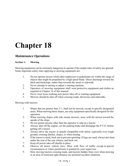### *Maintenance Operations*

#### **Section 1: Mowing**

Mowing equipment can be extremely dangerous to operate if the simple rules of safety are ignored. Some important safety rules applying to mowing equipment are:

- 1. Do not operate mower while other employees or pedestrians are within the range of objects that might be propelled by a high speed blade. Direct discharge toward the ditch and backslope, rather than towards the street or sidewalk.
- 2. Never attempt to unclog or adjust a running machine.
- 3. Operators of mowing equipment shall wear protective equipment and clothes as required in Chapter 16 of this manual.
- 4. Never wear loose clothing near power take-off or rotating equipment.
- 5. Mowers should be shut off when crossing roads, driveways and sidewalks.

Mowing with tractors:

- 1. Slopes that are greater than 3:1, shall not be mowed, except in specific designated areas. When mowing these slopes, use only equipment specifically designed for this operation.
- 2. When mowing slopes with side mount mowers, mow with the mower toward the upside of the slope.
- 3. Do not permit anyone other than the operator to ride on a tractor.
- 4. Always shut off the engine, set the parking brake and disengage the P.T.O. before getting off a tractor.
- 5. Always drive the tractor at speeds compatible with safety, especially over rough ground, crossing ditches, slopes, or when turning.
- 6. If the tractor is stuck, back out to prevent upsetting. If logs are used, always put them under the rear of the rear wheels, and back out.
- 7. Keep all power take-off shields in place.
- 8. Observe all motor vehicle laws. Mow with flow of traffic except in special circumstances or where permission is granted by your supervisor.
- 9. Slow moving tractors crossing roads, and tractors hidden from view when mowing in an area of restricted sight distance are potential accident situations.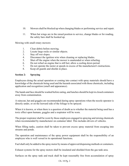- 10. Mowers shall be blocked up when changing blades or performing service and repair.
- 11. When bat wings are in the raised position to service, change blades or for roading, the safety bars shall be hooked up.

Mowing with small rotary mowers:

- 1. Clear debris before mowing.
- 2. Locate large rocks or similar objects.
- 3. Stay off wet slopes.
- 4. Disconnect the ignition wire when cleaning or replacing blades.
- 5. Shut off the engine when the mower is unattended or when refueling.
- 6. Do not refuel an engine that is still hot; allow a cooling down period.
- 7. Do not operate the motor at speeds in excess of the manufacturer's instructions.
- 8. Keep all guards and shields in place.

#### **Section 2: Spraying**

Employees doing the actual operation or coming into contact with spray materials should have a knowledge of the chemicals being used and the hazards associated with those chemicals, including application and recognition (smell and appearance).

The hands and face should be washed before eating, and lunches should be kept in closed containers away from contamination.

A raincoat, hat and goggles are recommended during spray operations when the nozzle operator is directly under, or on the leeward side of the foliage to be sprayed.

When it is known, or when there is a question of doubt as to whether the material being used has a toxic effect upon humans, goggles and a respirator will be worn.

The proper respirator shall be worn by those employees engaged in spraying and mixing chemicals when recommended by manufacturer on container label. This includes drivers of vehicles.

When filling tanks, caution shall be taken to prevent excess spray material from escaping into streams and ponds.

The operation and maintenance of the spray power equipment shall be the responsibility of an employee who is well versed in its operational functions.

Fuel shall only be added to the spray motor by means of approved dispensing methods or containers.

Exhaust systems for the spray motors shall be insulated and shielded from the gas tank area.

Surfaces on the spray tank and truck shall be kept reasonably free from accumulation of spray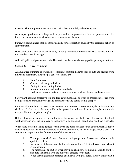material. This equipment must be washed off at least once daily when being used.

An adequate platform and railings shall be provided for the protection of nozzle operators when the top of the spray tank or truck cab is used as a spraying platform.

Plates, pipes and hinges shall be inspected daily for deterioration caused by the corrosive action of spray materials.

Hose connections shall be inspected daily. A spray hose under pressure can cause serious injury if the hose becomes disengaged.

At least 5 gallons of potable water shall be carried by the crew when engaged in spraying operations.

#### **Section 3: Tree Trimming**

Although tree trimming operations present many common hazards such as cuts and bruises from limbs and machinery, the principal causes of injury are:

- 1. Falls from trees.
- 2. Contact with energized wires.
- 3. Falling trees and falling limbs.
- 4. Improper climbing and working methods.
- 5. High-speed moving parts on power equipment such as chippers and chain saws.

Safety hard hats and protective eye and face equipment shall be worn to protect employees from being scratched or struck by twigs and branches or flying debris from a chipper.

For unusual jobs where it is necessary to get near or in between live conductors, the utility company shall be asked to cover the wire with rubber protection, relocate it, or de-energize the circuit temporarily until the job is completed.

Before allowing an employee to climb a tree, the supervisor shall check the tree for structural weaknesses and brief the employee on the hazards to be expected - dead limbs, overhead wires, etc.

When using hydraulic lifting devices to trim trees, the boom and associated equipment shall not be depended upon for insulation. Operators shall be warned not to raise and project booms over live conductors. Important rules for operation of chain saws are:

- 1. The supervisor shall insure that any employee permitted to operate a chain saw is qualified to do so.
- 2. No one except the operator shall be allowed within a 6-foot radius of a saw when it is in operation.
- 3. The motor shall be shut off when moving a chain saw from one location to another, and hold the handle with the cutter bar directed to the rear.
- 4. When starting gasoline-operated chain saws with pull cords, the saw shall be held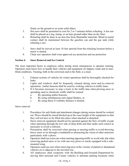firmly on the ground or on some solid object.

- 5. Hot saws shall be permitted to cool for 2 or 3 minutes before refueling. A hot saw shall be placed on a log, stump, or on bare ground rather than on dry litter.
- 6. Refueling shall be done in an area free from flammable materials. Metal-to-metal contact shall be maintained between the gasoline can and the gas tank while refueling a saw.
- 7. Saws shall be moved at least 10 feet upwind from the refueling location before a motor is started.
- 8. Chain saw operators shall wear approved eye protection and ear protection.

#### **Section 4: Snow Removal and Ice Control**

The most important factor in employee safety during storm emergencies is operator training. Operators must know how to handle their vehicles and equipment on slippery roads and in nearblind conditions. Training, both in the crewroom and in the field, is a must.

- 1. Exhaust systems of vehicles for winter operations shall be thoroughly checked for leaks.
- 2. Lights and windows shall be frequently cleaned during snow and ice removal operations. Amber beacons shall be used by working vehicles in traffic lanes.
- 3. If it becomes necessary to stop a truck in the traffic lane when plowing snow or spreading sand or chemicals, traffic shall be warned:
	- a. By operating amber beacons,
	- b. By using simultaneous turn-signal flashers, or
	- c. By using flares if visibility distance is limited.

Snow removal:

- 1. Procedures for safe blade and attachment changes during storms should be worked out. Plows should be stored blocked up at the exact height of the equipment so that they will not have to be lifted into place when attached or detached.
- 2. Snow removal equipment should not be operated against the flow of traffic except when operating through the low side of deep drifts and then under such control as necessary to avoid a collision.
- 3. Precautions shall be exercised when passing or meeting traffic to avoid throwing heavy snow or ice through a windshield or obstructing the vision of other motorists particularly with v-plows.
- 4. Operators shall use extra care when meeting opposing traffic to avoid side slip when removing packed snow or ice with one-way plows or trucks equipped with a sidemounted wing.
- 5. Operators snail use care when removing snow in the vicinity of parked or abandoned vehicles on or adjacent to the traveled way.
- 6. All employees shall cooperate with the Building and Grounds Department by moving their personal and County vehicles to alternate parking locations when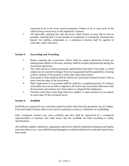requested to do so for snow removal purposes. Failure to do so may result in the vehicle being towed away at the employee's expense.

7. All sidewalks, parking lots and driveways shall remain as snow and ice free as possible, realizing that it is not feasible to completely or continually eliminate this hazard. Ice melting compounds or a sand/gravel mixture shall be applied to sidewalks where necessary.

#### **Section 5: Excavating and Trenching**

- 1. Before opening any excavation, efforts shall be made to determine if there are underground utilities in the area, and they shall be located and protected during the excavation operations.
- 2. The walls and faces of all excavations, and trenches more than 5 feet deep, in which employees are exposed to danger from moving ground shall be guarded by a shoring system, sloping of the ground or some other equivalent means.
- 3. Excavated or other material shall be effectively stored and retained at least 2 feet or more from the edge of the excavation.
- 4. Daily inspections of excavations shall be made by a competent person. If evidence of possible cave-ins or slides is apparent, all work in the excavation shall cease until the necessary precautions have been taken to safeguard the employees.
- 5. Trenches more than 4 feet deep shall have ladders or steps located so as to require no more than 25 feet of lateral travel.

#### **Section 6: Scaffolds**

Scaffolds are required for any work that cannot be safely done from the ground by use of a ladder. Front end loader buckets shall not be used for painting or used as a substitute for scaffolding.

Only competent workers may erect scaffolds and they shall be supervised by a competent superintendent or foreman who shall insure that the scaffolds are built according to safety specifications.

All scaffolds, ladders, machinery, equipment, and devices shall be inspected at frequent and regular intervals while in use. Any scaffold found damaged or weakened shall not be used until repairs have been made.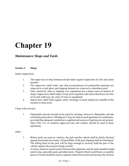### *Maintenance Shops and Yards*

#### **Section 1: Shops**

Safety inspections:

- 1. The supervisor or shop foreman should make regular inspections for fire and safety hazards.
- 2. The supervisor shall make sure that accumulations of combustible materials are removed to a safe place and slipping hazards are removed or absorbent used.
- 3. Falls caused by slips or tripping over equipment are a major cause of injuries in shops. Supervisors shall inspect work areas regularly and insure that floors are free of oil and walkways are clear of tools or equipment.
- 4. Supervisors shall hold regular safety meetings to keep employees mindful of the hazards in shop areas.

Clean with solvents:

1. Flammable solvents should not be used for cleaning. However, flammable solvents with flash points above 100 degrees F may be used in small quantities for small pans, provided that adequate ventilation is supplied and sources of ignition are not present. Only F/M, U/L or similarly approved cans and washers should be used in these operations.

#### Jacks:

- 1. Before jacks are used on vehicles, the jack and the vehicle shall be firmly blocked against horizontal movement. All possibility of the jack slipping shall be eliminated. The lifting head on the jack will be large enough to securely hold the part of the vehicle against the pressure being exerted.
- 2. At times, metal-to-metal contact between this apparatus and the parts handled might tend to slip, especially jacks and table hoists. Properly fitted wood blocks or suitable pieces of cloth should be used to separate metal from metal and increase the friction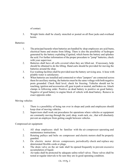of contact.

3. Weight limits shall be clearly stenciled or posted on all floor jacks and overhead hoists.

Batteries:

- 1. The principal hazards when batteries are handled by shop employees are acid bums, electrical bums and strains from lifting. There is also the possibility of hydrogen generated by the battery exploding if ignited, which bursts the battery and splashes the acid. For further information of the proper procedure to "jump" batteries, check with your supervisor.
- 2. Batteries shall have all cells covered when they are lifted out. If necessary, help should be obtained to do the lifting. Hand carts should be provided for moving the batteries around the shop.
- 3. Eye washing facilities shall be provided near the battery servicing area. A hose with potable water is satisfactory.
- 4. When batteries are installed and connected or when "jumpers" are connected across them for auxiliary starting, the batteries must be the same voltage with both negative posts grounded. Check fluid level, check for freezing. Vehicles should not be touching, ignition and accessories off, gear in park or neutral, and brakes on. Attach clamps in following order. Positive on dead battery to positive on good battery. Negative of good battery to engine block of vehicle with dead battery. Remove in exact opposite order.

Moving vehicles:

- 1. There is a possibility of being run over in shops and yards and employees should keep clear of moving vehicles.
- 2. Supervisors shall work out procedures for operations where vehicles or equipment are constantly moving through the yard, shop, wash rack, etc., that will absolutely prevent an employee from getting caught between vehicles.

Compressed air equipment:

- 1. All shop employees shall be familiar with the air compressor operating and maintenance instructions.
- 2. Rotating pulleys and belts on compressor and electric motors shall be properly guarded.
- 3. On electric motor driven compressors, periodically check and replace any deteriorated flexible cords or plugs.
- 4. The drain valve on the air tank shall be opened frequently to prevent excessive accumulation of liquid.
- 5. Air tanks shall be protected by adequate safety-relief valves. These valves shall be tested at regular intervals to be sure they are in good operating condition.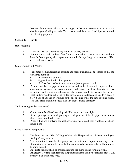6. Beware of compressed air - it can be dangerous. Never use compressed air to blow dirt from your clothing or body. The pressure shall be reduced to 30 psi when used for cleaning purposes.

#### **Section 2: Yards**

Housekeeping

- 1. Materials shall be stacked safely and in an orderly manner.
- 2. Storage areas shall be kept free from accumulation of materials that constitute hazards from tripping, fire, explosion, or pest harborage. Vegetation control will be exercised as necessary.

Underground Tank Vents:

- 1. Vent pipes from underground gasoline and fuel oil tanks shall be located so that the discharge point is:
	- a. Outside of the building.
	- b. Higher than the fill pipe opening.
	- c. Not less than twelve feet above the adjacent ground level.
- 2. Be sure that the vent pipe openings are located so that flammable vapors will not enter doors, windows, or become trapped under eaves or other obstructions. It is important that the vent pipes discharge only upward in order to disperse the vapors.
- 3. Each underground tank shall be vented through piping adequate in size to prevent a blow-back of any vapor or liquid at the fill opening while the tank is being filled. The vent pipes shall not be less than 114 inches inside diameter.

Tank Openings (other than vents):

- 1. Connections for all tank openings shall be vapor or liquid-tight.
- 2. If the openings for manual gauging are independent of the fill pipe, the openings shall have a liquid tight cover.
- 3. When filling and emptying connections are not being used, they shall be closed and liquid-tight.

Ramp Area and Pump Island:

- 1. "No Smoking" and "Shut Off Engine" signs shall be posted and visible to employees fueling County vehicles.
- 2. The hose retractors on the fuel pump shall be maintained in proper working order. If retractor is not available, hose shall be maintained in a manner that will minimize tripping hazard.
- 3. Adequate lighting shall be provided around the pump island for night work.
- 4. All electrical wiring in and around the pump and island shall be explosion proof, U/L approved, and enclosed type.

#### Ch. 19 Pg. 3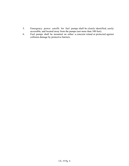- 5. Emergency power cutoffs for fuel pumps shall be clearly identified, easily accessible, and located away from the pumps (not more than 100 feet).
- 6. Fuel pumps shall be mounted on either a concrete island or protected against collision damage by protective barriers.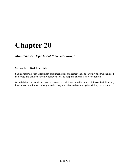### *Maintenance Department Material Storage*

#### **Section 1: Sack Materials**

Sacked materials such as fertilizer, calcium chloride and cement shall be carefully piled when placed in storage and shall be carefully removed so as to keep the piles in a stable condition.

Material shall be stored so as not to create a hazard. Bags stored in tiers shall be stacked, blocked, interlocked, and limited in height so that they are stable and secure against sliding or collapse.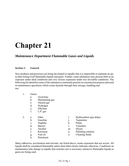### *Maintenance Department Flammable Gases and Liquids*

#### **Section 1: General**

New products and processes are being developed so rapidly that it is impossible to maintain an upto-date listing of all flammable liquids and gases. Further, some substances may present little or no exposure under ideal conditions and very serious exposures under less favorable conditions. The following list identifies some of the substances commonly present on construction projects and used in maintenance operations which create hazards through their storage, handling and use.

- 1. Gases:
	- a. Acetylene
	- b. Illuminating gas
	- c. Natural gas
	- d. Hydrogen
	- e. Ethylene
	- f. L.P. gas
- -
	-
	- c. Naphtha k. Paints<br>d. Benzol 1. Varnis
	- e. Alcohol m. Dryers
	-
	-
	- h. Petroleum
- 2. a. Ether i. Hydrocarbon (gas drips)
	- b. Gasoline i. Turpentine
		-
	- d. Benzol l. Varnishes
		-
	- f. Kerosene n. Polishing solution
	- g. Fuel oil o. Cleaning fluids

Many adhesives, accelerators and solvents, not listed above, create exposures that are severe. All liquids shall be considered flammable unless their label clearly indicates otherwise. Conditions on maintenance jobs change so rapidly that extreme care is necessary whenever flammable liquids or gases are being used.

#### Ch. 21 Pg. 1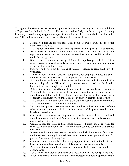Throughout this Manual, we use the word "approved" numerous times. A good, practical definition of "approved" is: "suitable for the specific use intended as designated by a recognized testing laboratory, or conforming to appropriate specifications that have been established for such specific uses." The following applies when handling flammable liquids and gases:

- 1. Flammable liquid and gas storage areas shall be located where public fire protection has access to the site.
- 2. The telephone number of the local Fire Department shall be posted at all telephones.
- 3. Areas to be used for storing flammable liquids or gases shall be located away from equipment, materials or other structures that could become involved if a fire breaks out in the storage area.
- 4. Structures to be used for the storage of flammable liquids or gases shall be of fireresistive construction and located away from burning, welding and other operations involving the generation of heat.
- 5. Structures to be used for the storage of flammable liquids or gases shall be wellventilated.
- 6. Motors, switches and other electrical equipment (including light fixtures and bulbs) within such storage areas shall be the approved type of these areas.
- 7. Suitable fire extinguishers shall be located within the area and adjacent to it. The outside extinguishers shall be sufficiently distant to assure accessibility should a fire break out, but near enough to be ' useful.
- 8. Bulk containers from which flammable liquids are to be dispensed shall be grounded.
- 9. Flammable liquids and gases shall be stored in containers providing positive identification of the contents. If there is any question as to the contents of a container, it shall not be used until it has been positively identified and labeled.
- 10. The storage of flammable liquids and gases shall be kept to a practical minimum. Large quantities shall be stored below ground.
- 11. Personnel having access to storage areas shall be trained in the characteristics of such substances, the exposures such characteristics create, and the precautions that must be taken to avoid accidents.
- 12. Care must be taken when handling containers so that damage does not result and identification is not obliterated. Whenever positive identification is not possible, the contents shall not be used.
- 13. Containers used for storing and dispensing flammable liquids shall be approved for such use. Flammable liquids shall never be dispensed into containers that are not approved.
- 14. If a container has once been used for one substance, it shall not be used for another until it has been thoroughly purged. Pouring oil into containers previously used for gasoline has resulted in many fires.
- 15. Containers, nozzles and related dispensing equipment shall be identified as to use, be of an approved type, stored to avoid damage, and inspected regularly.
- 16. Pumps, containers and other dispensing equipment shall be kept clean and free of contaminants.
- 17. Tools to be used in storage and dispensing areas shall be of the non-sparking type.
- 18. When transferring flammable liquids from storage containers to approved small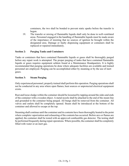containers, the two shall be bonded to prevent static sparks before the transfer is begun.

19. The transfer or mixing of flammable liquids shall only be done in well-ventilated areas. Personnel engaged in the handling of flammable liquids must be made aware of the importance of insisting that no sources of ignition be brought within the designated area. Damage or faulty dispensing equipment or containers shall be replaced or repaired immediately.

#### **Section 2: Purging Tanks and Containers**

Tanks or containers that have contained flammable liquids or gases shall be thoroughly purged before any repair work is attempted. The proper purging of tanks that have contained flammable liquids or gases requires equipment seldom found at a Maintenance Headquarters. It is highly recommended that purging operations be done where adequate facilities are available and trained personnel are employed. Purging can be accomplished either by steaming or by the use of inert gases.

#### **Section 3: Steam Purging**

Only experienced personnel, properly trained shall perform this operation. Purging operations shall not be conducted in any area where open flames, heat sources or unprotected electrical equipment exists.

Rust and loose sludge within the container should be loosened by tapping around the sides and ends of the container with a wooden object. A metal nozzle shall be attached to the end of the steam line and grounded to the container being purged. All bungs shall be removed from the container. All valves and outlets shall be completely opened. Steam shall be introduced at the bottom of the container and allowed to escape at the top.

Steaming shall continue until the container and its contents have been thoroughly heated to the point where complete vaporization and exhausting of the contents has occurred. Before arcs or flames are applied, the container shall be tested with an approved combustible gas detector. The testing shall be performed frequently during repair operations. Where possible, the container shall be completely filled with water or an inert gas.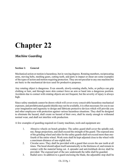### *Machine Guarding*

#### **Section 1: General**

Mechanical action or motion is hazardous, but in varying degrees. Rotating members, reciprocating arms, moving belts, meshing gears, cutting teeth, and parts in impact or shear are some examples of the types of action and motion requiring protection. They are not peculiar to any one machine but are basic to the mechanical devices used for productive purposes.

Any rotating object is dangerous. Even smooth, slowly-rotating shafts, belts, or pulleys can grip clothing or hair, and through mere skin contact force an arm or hand into a dangerous position. Accidents due to contact with rotating objects are not frequent, but the severity of injury is always high.

Since safety standards cannot be drawn which will cover every conceivable hazardous mechanical exposure, and prefabricated guards/shields may not be available, it is often necessary for you to use your imagination and ingenuity to design and fabricate protective devices which will provide you and other employees with protection against various hazardous situations. They shall be designed to eliminate the hazard, shall create no hazard of their own, shall be sturdy enough to withstand normal wear, and shall not interfere with production.

A few examples of guarding required on County machines, tools and equipment are:

- 1. Abrasive wheels on bench grinders: The safety guard shall cover the spindle end, nut, flange projections, and shall exceed the strength of the guard. The exposed area of the grinding wheel and sides for the safety guards shall not exceed more than onefourth of the entire wheel. Work rests shall be kept adjusted close to the wheel with a maximum distance of one-eighth inch.
- 2. Circular saws: They shall be provided with a guard that covers the saw teeth at all times. The hood should adjust itself automatically to the thickness of, and remain in contact with the material being cut. A spreader and anti-kickback device shall be provided. The exposed part of the saw underneath the table shall be guarded.
- 3. Radial saws: In addition to a guard enclosing the blade, the adjustable stop shall be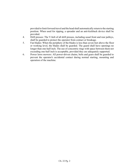provided to limit forward travel and the head shall automatically return to the starting position. When used for ripping, a spreader and an anti-kickback device shall be provided.

- 4. Drill presses: The V-belt of all drill presses, including usual front and rear pulleys, shall be guarded to protect the operator from contact or breakage.
- 5. Fan blades: When the periphery of the blades is less than seven feet above the floor or working level, the blades shall be guarded. The guard shall have openings no longer than one-half inch. The use of concentric rings with space between them not exceeding one-half inch is acceptable, provided they are adequately supported.
- 6. Power lawn mowers: All power-driven chains, belts and gears shall be guarded to prevent the operator's accidental contact during normal starting, mounting and operation of the machine.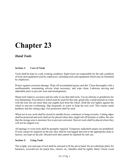### *Hand Tools*

#### **Section 1: Care of Tools**

Tools shall be kept in a safe working condition. Supervisors are responsible for the safe condition of tools and equipment used by employees, including tools and equipment which may be furnished by employees.

Protect against corrosion damage. Wipe off accumulated grease and dirt. Clean thoroughly with a nonflammable, nonimtating solvent when necessary, and wipe clean. Lubricate moving and adjustable parts to prevent wear and misalignment.

Sharp tools improve accuracy and are safer to use than dull tools. Use an oilstone or grindstone for tool sharpening. If an abrasive wheel must be used for this task, grind only a small amount at a time with the tool rest not more than one-eighth inch from the wheel. Hold the tool lightly against the wheel to prevent overheating. Dip frequently in water to keep the tool cool. This retains metal hardness and the cutting edge. Eye protection shall be used.

When not in use, tools shall be stored in suitable boxes, containers or hung on racks. Cutting edges shall be protected and tools shall not be placed where they might roll off benches or tables. Be sure that the storage area is moisture free to prevent corrosion. Heavier tools shall be placed where they will not be tripped over.

All damage or worn tools shall be promptly repaired. Temporary makeshift repairs are prohibited. If tools cannot be repaired on the job, they shall be red-tagged and sent to the appropriate shop or factory, not kept on the job. Discard tools that cannot be repaired for safe use.

#### **Section 2: Using Tools**

The weight, size and type of tool shall be selected to fit the job at hand. Do not substitute pliers for hammers, screwdrivers for pinch bars, chisels, etc. Handles shall be tightly fitted. Check wood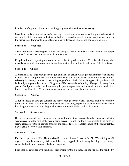handles carefully for splitting and cracking. Tighten with wedges as necessary.

Most hand tools are conductors of electricity. Use extreme caution in working around electrical circuits. Insulated and nonconducting tools shall be tested frequently under expert supervision. In the presence of flammable materials or explosive dusts and vapors, use non-sparking tools.

#### **Section 3: Wrenches**

Select the correct size and type of wrench for each job. Do not extend the wrench handle with a pipe or other "cheater". Never use a wrench as a hammer.

Keep handles and adjusting screws on all wrenches in good condition. Wrenches shall always be placed on nuts with the jaw opening facing the direction that the handle will move. Pull, do not push.

#### **Section 4: Chisels**

A chisel shall be large enough for the job and shall be driven with a proper hammer of sufficient weight. Use the proper chisel for the material being cut. A chisel shall be held with a steady but relaxed grip. Keep your eyes on the cutting edge of the chisel. Chisels being struck by others shall be held by tongs or other devices. Goggles shall be worn when chipping. Always chip away from yourself and protect others with screening. Repair or replace mushroomed chisels and cracked or broken chisel handles. When sharpening, maintain the original shape and angle.

#### **Section 5: Punches**

A punch should be straight, suitable and heavy enough for the work. Punches shall be accurately ground at all times. Start punch with light taps. Hold securely, especially on rounded surfaces. When knocking out rivets and pins, begin with a starting punch. Finish with a pin punch.

#### **Section 6: Screwdrivers**

Do not use a screwdriver as a chisel, pry-bar, or for any other purpose than that intended. Select a screwdriver to fit the size of the screw being driven. Do not grind to a fine point to fit all sizes of screw heads. Keep the tip ground properly and squared across. Handles should fit the shank tightly. Never drive a screw with a hammer.

#### **Section 7: Files**

Use the proper type of file. The cut should be on the forward pass of the file. When filing small objects, clamp them securely. When teeth become clogged, clean thoroughly. Clogged teeth may cause the file to slip, exposing the hands to injury.

Files shall be equipped with handles of proper size for the file tang. Tap the file into the handle by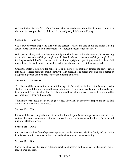striking the handle on a flat surface. Do not drive the handle on a file with a hammer. Do not use files for pry bars, punches, etc. File metal is usually very brittle and will snap.

#### **Section 8: Hand Saws**

Use a saw of proper shape and size with the correct teeth for the size of cut and material being sawed. Keep the teeth and blades properly set. Protect the teeth when not in use.

Hold the saw firmly and start the cut carefully and slowly to avoid blade jumping. When starting a cut, hold rip saws at a 60 degree angle with the board and crosscut saws at a 45 degree angle. Place the fingers to the left of the cut mark with the thumb upright and pressing against the blade. Pull upward until the blade bites. Start with a partial cut, then set the saw at the proper angle.

Check the material being cut for nails, knots and other objects that may damage the saw or cause it to buckle. Pieces being cut shall be firmly held in place. If long pieces are being cut, a helper or a supporting bench shall be used to prevent pinching at the cut.

#### **Section 9: Hacksaws**

The blade shall be selected for the material being cut. The blade teeth shall point forward. Blades shall be rigid and the frame should be properly aligned. Use strong, steady strokes directed away from yourself. The entire length of the blade should be used in a stroke. Hard materials should be cut more slowly than soft materials.

Thin, flat pieces should not be cut edge to edge. They shall be securely clamped and cut so that several teeth are cutting at all times.

#### **Section 10: Pliers**

Pliers shall be used only when no other tool will do the job. Never use pliers as wrenches. Use cutting pliers only for cutting soft metals, never for hard metals or as nail pullers. Use insulated pliers for electrical work.

#### **Section 11: Picks**

Pick handles shall be free of splinters, splits and cracks. The head shall be firmly affixed to the handle. Be sure that the areas in back and to the sides are clear when swinging.

#### **Section 12: Shovels**

Shovel handles shall be free of splinters, cracks and splits. The blade shall be sharp and free of jagged or split edges.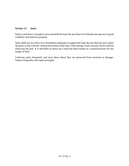#### **Section 13: Jacks**

Select a jack heavy enough to raise and hold the load. Be sure that swivel heads and caps are in good condition and function properly.

Jacks shall rest on a firm, level foundation adequate to support the load. Be sure that the jack cannot tip and is in line with the vertical movement of the load. After raising a load, securely block it before removing the jack. It is advisable to shore-up a load that must remain in a raised position for any length of time.

Lubricate jacks frequently and store them where they are protected from moisture or damage. Inspect frequently and repair promptly.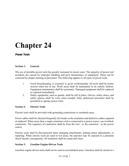*Power Tools*

#### **Section 1: General**

The use of portable power tools has greatly increased in recent years. The majority of power tool accidents are caused by improper handling and poor maintenance of equipment. These can be corrected by proper training of personnel. The following applies to all types of power tools.

- 1. Good housekeeping is essential to good workmanship. All tools shall be neatly stowed when not in use. Work areas shall be maintained in an orderly fashion. Equipment maintenance shall be systematic. Damaged equipment shall be replaced or repaired immediately.
- 2. Safety equipment, such as guards, shall be left in place. Gloves, safety shoes, and safety glasses shall be worn when needed. Only authorized personnel shall be permitted to operate power tools.

#### **Section 2: Electric Tools**

Electric tools shall be provided with grounding connections or insulated cases.

Power cables shall be checked frequently for breaks in the insulation and defective cables repaired or replaced. When more than a single extension cord is connected to a power source, use twistlock connectors. The sequence of connection shall be from the tool - to the extension - to the power source.

Electric tools shall be disconnected when changing attachments, making minor adjustments, or repairing. When electric tools are used in wet areas, the operator may be exposed to a potential shock hazard, consequently, all insulation shall be sound and clean.

#### **Section 3: Gasoline Engine-Driven Tools**

Gasoline engine-driven tools shall not be used in unventilated areas. Gasoline shall be stored in a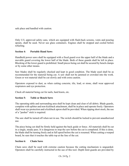safe place and handled with caution.

Only U/L approved safety cans, which are equipped with flash-back screens, vents and pouring spouts, shall be used. Never use glass containers. Engines shall be stopped and cooled before refueling.

#### **Section 4: Portable Hand Saws**

Handheld power saws shall be equipped with a fixed guard over the upper half of the blade and a movable guard covering the lower half of the blade. Both of these guards shall be left in place. Blocking of the lower guard is prohibited. Small pieces being cut shall be secured by bench clamps or by some other means.

Saw blades shall be regularly checked and kept in good condition. The blade used shall be as recommended for the material being cut. A saw shall not be jammed or crowded into the work. Green or wet material shall be cut slowly and with extra caution.

Operators exposed to dust, as when cutting concrete, tile, lead, or stone, shall wear approved respirators and eye protection.

Check all material being cut for nails, hard knots, etc.

#### **Section 5: Table or Bench Saws**

The operating table and surrounding area shall be kept clean and clear of all debris. Blade guards, complete with splitter and non-kickback attachment, shall be in place and operate freely. Operators shall wear eye protection and a kickback apron shall be provided. When ripping short stock, the use of a "pusher" stick is required.

The saw shall be turned off when not in use. The switch should be locked to prevent unauthorized use.

The piece being cut shall be firmly held against the back guide or fence. All materials shall be cut in a single, steady pass. It is dangerous to stop the saw before the cut is completed. If this is done, the blade shall be turning freely and at full speed before the cut is resumed. When cutting a warped board, be sure that it touches the table top at the line of the cut.

#### **Section 6: Chain Saws**

Chain saws shall be used with extreme caution because the cutting mechanism is unguarded. Operators shall be carefully instructed in the use of this tool. Depth limit guards are provided by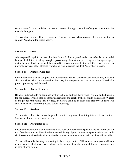several manufacturers and shall be used to prevent binding at the point of engine contact with the material being cut.

The saw shall be shut off before refueling. Shut off the saw when moving it from one position to another. Watch out for others nearby.

#### **Section 7: Drills**

Always provide a prick punch or pilot hole for the drill. Always select the correct bit for the material being drilled. If the bit is long enough to pass through the material, protect against damage or injury on the far side. Small pieces shall be secured to prevent spinning by the drill. Care shall be taken to prevent sleeves or other clothing from being wound around the drill. Wear short sleeves.

#### **Section 8: Portable Grinders**

Portable grinders shall be equipped with hood guards. Wheels shall be inspected regularly. Cracked abrasive wheels shall be discarded as they may fly into pieces and cause an injury. Wheel of a proper rpm rating shall be used.

#### **Section 9: Bench Grinders**

Bench grinders should be equipped with eye shields and will have wheel, spindle and adjustable tongue guards. Wheels shall be inspected regularly and cracked wheels shall be discarded. Wheels of the proper rpm rating shall be used. Tool rests shall be in place and properly adjusted. All abrasive wheels shall be ring-tested before mounting.

#### **Section 10: Sanders**

The abrasive belt or disc cannot be guarded and the only way of avoiding injury is to use caution. Sanders shall move away from the body.

#### **Section 11: Pneumatic Tools**

Pneumatic power tools shall be secured to the hose or whip by some positive means to prevent the tool from becoming accidentally disconnected. Safety clips or retainers on pneumatic impact tools shall be securely installed and maintained to prevent attachments from being accidentally expelled.

The use of hoses for hoisting or lowering tools is not permitted. All hoses exceeding one-half inch inside diameter shall have a safety device at the source of supply or branch line to reduce pressure in case of hose failure.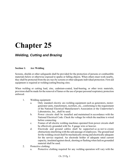### *Welding, Cutting and Brazing*

#### **Section 1: Arc Welding**

Screens, shields or other safeguards shall be provided for the protection of persons or combustible materials below or otherwise exposed to sparks or falling objects. When others must work nearby, they shall be protected from the arc rays by screens or other adequate individual protection. First aid equipment is required at welding/cutting/brazing sites.

When welding or cutting lead, zinc, cadmium-coated, lead-bearing, or other toxic materials, provision shall be made for the removal of fumes or the use of proper personal respiratory protection enforced.

- 1. Welding equipment:
	- a. Only standard electric arc-welding equipment such as generators, motorgenerator units, transformers, rectifiers, etc., conforming to the requirement of the National Electrical Manufacturer's Association or the Underwriter's Laboratories, Inc., shall be used.
	- b. Power circuits shall be installed and maintained in accordance with the National Electrical Code. Check the voltage for which the machine is wired before connecting.
	- c. Frames of all electric welding machines operated from power circuits shall be effectively grounded with No. 8 gauge wire or heavier.
	- d. Electrode and ground cables shall be supported so as not to create obstructions interfering with the safe passage of employees. The ground lead for the welding circuit shall be mechanically strong and electrically adequate for the service required. An electrode holder of adequate rated current capacity, insulated against shock, shorting or flashing when laid on grounded material shall be used.
- 2. Protective clothing:
	- a. Protective clothing required for any welding operation will vary with the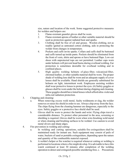size, nature and location of the work. Some suggested protective measures for welders and helpers are:

- 1. Flame-resistant gauntlet gloves shall be worn.
- 2. Flame-resistant aprons of leather or other suitable material should be used as protection against radiated heat and sparks.
- 3. Clothing shall be free of oil and grease. Woolen clothing, not as readily ignited as untreated cotton clothing, aids in protecting the welder from changes in temperature.
- 4. Pockets and cuffs invite sparks. Collars and cuffs shall be buttoned and cuffs turned up inside pants. Pockets should be eliminated from the front of vests, shirts and aprons or have buttoned flaps. Low-cut shoes with unprotected tops are not permitted. Leather caps worn under helmets will prevent head burns during overhead welding. Ear protection is sometimes desirable for overhead welding and in confined places.
- 5. High quality welding helmets of glass fiber, vulcanized fiber, chromed leather, or other suitable material shall be worn. The proper shade of welding lens shall be worn and an adequate supply of cover lenses shall be available. Hand shields are generally substituted for helmets on light, intermittent work. Employees assisting welders shall wear protective lenses to protect the eyes. (6) Safety goggles or glasses shall be worn under the helmet during chipping and cleaning. These goggles should have tinted lenses which afford ultra-violet and infra-red radiation protection.
- 3. Chipping and cleaning:
	- a. When removing excess weld metal, faulty weldments or slag, the welder removes or raises his shield in order to see. Always chip away from the face. The chips flying from the cleaning hammer are dangerous, especially to the eyes. Safety goggles or a protective face shield shall be used.
	- b. Gloves shall be worn to protect the hands and wrist. Flying chips travel a considerable distance. To protect other personnel in the area, screening or shielding is required. Gloves shall be worn when wire-brushing weld metal or when cleaning and brushing surfaces to be welded. Use caution to avoid metal slivers and sharp edges.
- 4. Fire prevention in welding and cutting:
	- a. In welding and cutting operations, suitable fire extinguishers shall be maintained ready for instant use. Such equipment may consist of pails of water, buckets of sand or portable extinguishers, depending upon the nature and quantity of the combustible material exposed.
	- b. A welder's helper or fire watcher is required whenever cutting or welding is performed in locations where a fire might develop. It is advisable to have this watch continued at least 30 minutes after completion of the welding operation to detect and extinguish possible smoldering fires. c. Precautions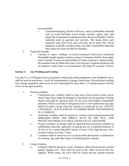recommended:

- 1. Good housekeeping. Remove all loose, easily combustible materials such as wood shavings, wood scraps, sawdust, paper, rags, and especially oil and grease soaked materials. Remove all highly volatile materials such as gasoline and solvents. The fumes from such materials seek floor level areas and may travel many feet. Wood planking, scaffolds, wooden forms, and other combustible materials that cannot be removed shall be shielded.
- 5. Explosion hazards:
	- a. Cutting or repair welding of closed containers which have contained flammable liquids requires extreme caution. Containers shall be thoroughly steam cleaned. If removal and handling for steam cleaning is impracticable, the container may be filled with water or an inert gas. Frequent checking with an explosive vapor meter is recommended. (See page 50, sections 5 and 6)

#### **Section 2: Gas Welding and Cutting**

Use only U/L or F/M approved oxyacetylene welding and cutting equipment. Anti-flashback valves shall be used on both hoses. Avoid oil contamination of gauge connections. Oxyacetylene welding and cutting equipment shall never be left unattended for more than a 15 minute period with the valves in the open position.

- 1. Storing cylinders:
	- a. Compressed gas cylinders shall be kept away from excessive heat, not be stored where they might be damaged or knocked over by passing or falling objects and shall be stored at least 20 feet away from highly combustible materials. Where a cylinder is designed to have a valve protection cap, caps shall be in place except when the cylinder is connected for use. SAFETY CAPS SHALL ALWAYS BE ON CYLINDERS WHEN TRANSPORTED IN A VEHICLE.
	- b. Acetylene cylinders shall be stored in a vertical valve-end-up position and SHIELDED FROM THE DIRECT RAYS OF THE SUN, AND PROTECTED FROM ACCUMULATIONS OF ICE AND SNOW.
	- c. Oxygen cylinders in storage shall be separated from acetylene cylinders or combustible materials, especially oil and grease, by a minimum distance of 20 feet or by a noncombustible barrier at least 5 feet high having a fireresistant rating of at least ½ hour.
	- d. Cylinders shall be stored so as to avoid possible destruction or obliteration of coloring, tags and other means of identifying the contents.
- 2. Using cylinders:
	- a. Cylinders shall be placed in a rack, chained or otherwise positively secured against tipping over. They shall be used in the order received from the supplier. When empty, the valve shall be closed and the cylinder marked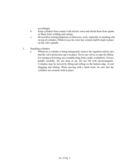accordingly.

- b. Keep cylinders from contact with electric wires and shield them from sparks or flame from welding and cutting.
- c. Do not allow storing temporary or otherwise, tools, materials or anything else on top of cylinders. While in use, the valve key wrench shall be kept in place on the valve spindle.
- 3. Handling cylinders:
	- a. Whenever a cylinder is being transported, remove the regulator and be sure that the valve protection cap is in place. Never use valves or caps for lifting. For raising or lowering, use a suitable sling, boat, cradle, or platform. Always handle carefully. Do not drop or jar. Do not lift with electromagnets. Cylinders may be moved by tilting and rolling on the bottom edge. Avoid dragging and sliding. When moving with a hand truck, be sure that the cylinders are securely held in place.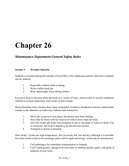### *Maintenance Department General Safety Rules*

#### **Section 1: Weather Hazards**

Sunburn is common during the summer. If you follow a few simple precautions, time lost to sunburn can be reduced:

- 1. Keep fully clothed while working.
- 2. Wear a safety hard hat.
- 3. Wear lightweight, loose fitting clothes.

Excessive heat or sun may affect the body in a variety of ways, which result in several conditions referred to as heat exhaustion, heat stroke or heat cramps.

Heat exhaustion: Pale, clammy skin; rapid, weak pulse; weakness; headache or nausea; and possible cramps in the abdomen or limbs may indicate heat exhaustion.

- 1. Move the victim to a cool place, but protect him from chilling.
- 2. Have him lie down with his head level with or lower than his body.
- 3. Give the victim salt water (one teaspoon of salt to one quart of water) to drink if he is conscious. Never give liquids to an unconscious person.
- 4. Transport to doctor or hospital.

Heat stroke: Victim has high temperature, skin in usually hot, red and dry (although it is possible for a heat stroke victim to be sweating), pulse will be rapid and strong, victim may be unconscious.

- 1. Call ambulance for immediate transportation to hospital.
- 2. Cool victim quickly, sponge with cool water or rubbing alcohol, apply cold packs or immerse in cool water.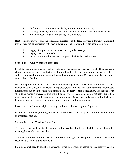- 3. If fan or air conditioner is available, use it to cool victim's body.
- 4. Don't give water, your aim is to lower body temperature until ambulance arrive.
- 5. On any unconscious victim, airway must be open.

Heat cramps usually occur in the abdominal muscles or in the legs. They are extremely painful and may or may not be associated with heat exhaustion. The following first-aid should be given:

- 1. Apply firm pressure to the muscles, or gently massage.
- 2. Apply warm, wet towels.
- 3. Administer the salt water solution prescribed for heat exhaustion.

### **Section 2: Cold Weather Safety Tips**

Frostbite results when a part of the body is frozen. The frozen part is usually small. The nose, ears, cheeks, fingers, and toes are affected most often. People with poor circulation, such as the elderly and the exhausted, are not as resistant to cold as younger people. Consequently, they are more susceptible to frostbite.

Maximum protection against cold is afforded by wearing at least three layers of clothing. The first layer, next to the skin, should be loose-fitting wool, loose twill, cotton or quilted thermal underwear. Looseness is important because tight-fitting garments restrict blood circulation. The second layer should be a medium-weave, medium weight, one or two-piece garment - again, not tight fitting. The outer layer should be wind-resistant and include a hood. Mittens are good protection for the hands. Insulated boots or overshoes are almost a necessity to avoid frostbitten toes.

Protect the eyes from the bright snow/sky combination by wearing tinted glasses.

Be prepared to protect your lungs with a face mask or scarf when subjected to prolonged breathing of extremely cold air.

### **Section 3: Hot Weather Safety Tips**

The majority of work for field personnel in hot weather should be scheduled during the cooler morning hours whenever possible.

A review of Hot Weather First Aid procedures and the Signs and Symptoms of Heat Exposure and Heat Exhaustion would be beneficial.

Field personnel need to adjust to hot weather working conditions before full productivity can be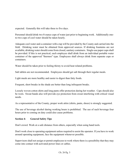expected. Generally this will take three to five days.

Personnel should drink two 8-ounce cups of water just prior to beginning work. Additionally oneto-two cups of cool water should be taken hourly.

Adequate cool water and a container with a tap will be provided by the County and carried into the field. Drinking water must be obtained from approved sources. If drinking fountains are not available, drinking water should come from closed, sanitary containers. Single-use paper cups shall be provided. If this is not practical, each employee shall drink from an individual portable water container of the approved "thermos" type. Employees shall always drink from separate cups or containers.

Water should be taken prior to feeling thirsty to avoid heat related problems.

Salt tablets are not recommended. Employees should get salt through their regular meals.

Light meals are more healthy and easier to digest than fatty foods.

Frequent, short breaks in the shade are better than long infrequent breaks.

Loosely woven cotton shirts and long pants offer protection during hot weather. Caps should also be worn. Sweat bands also will provide eye protection from sweat interfering with critical visual needs.

As a representative of the County, proper work attire (shirts, pants, shoes) is strongly suggested.

The use of beverage alcohol during working hours is prohibited. The use of such beverage four hours prior to coming on duty could also cause problems.

#### **Section 4: General Safety Tips**

Don't crowd. Work at a safe distance from others, especially when using hand tools.

Don't work close to operating equipment unless required to assist the operator. If you have to work around operating equipment, face the equipment whenever possible.

Supervisors shall not assign or permit employees to work where there is a possibility that they may come into contact with activated power lines or cables.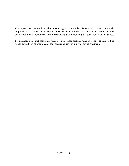Employees shall be familiar with poison ivy, oak or nettles. Supervisors should warn their employees to use care when working around these plants. Employees allergic to insect stings or bites shall report this to their supervisor before starting a job which might expose them to such hazards.

Maintenance personnel should not wear neckties, loose sleeves, rings or loose long hair - all of which could become entangled or caught causing serious injury or dismemberment.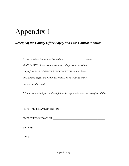# Appendix 1

### *Receipt of the County Office Safety and Loss Control Manual*

*By my signature below, I certify that on \_\_\_\_\_\_\_\_\_\_\_\_\_\_\_\_\_(Date) SARPY COUNTY, my present employer, did provide me with a copy of the SARPY COUNTY SAFETY MANUAL that explains the standard safety and health procedures to be followed while working for the county.*

*It is my responsibility to read and follow these procedures to the best of my ability.*

EMPLOYEES NAME (PRINTED):\_\_\_\_\_\_\_\_\_\_\_\_\_\_\_\_\_\_\_\_\_\_\_\_\_\_\_\_\_\_\_\_\_\_\_\_\_

EMPLOYEES SIGNATURE:\_\_\_\_\_\_\_\_\_\_\_\_\_\_\_\_\_\_\_\_\_\_\_\_\_\_\_\_\_\_\_\_\_\_\_\_\_\_\_\_\_

WITNESS:\_\_\_\_\_\_\_\_\_\_\_\_\_\_\_\_\_\_\_\_\_\_\_\_\_\_\_\_\_\_\_\_\_\_\_\_\_\_\_\_\_\_\_\_\_\_\_\_\_\_\_\_\_\_\_\_

DATE:\_\_\_\_\_\_\_\_\_\_\_\_\_\_\_\_\_\_\_\_\_\_\_\_\_\_\_\_\_\_\_\_\_\_\_\_\_\_\_\_\_\_\_\_\_\_\_\_\_\_\_\_\_\_\_\_\_\_\_\_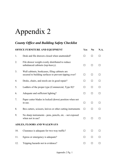# Appendix 2

## *County Office and Building Safety Checklist*

| OFFICE FURNITURE AND EQUIPMENT |                                                                                                        | Yes          | N <sub>0</sub> | N.A.         |
|--------------------------------|--------------------------------------------------------------------------------------------------------|--------------|----------------|--------------|
| 1.                             | Desk and file drawers closed when unattended?                                                          | $\mathsf{L}$ | П              |              |
| 2.                             | File drawer weight evenly distributed to reduce<br>unbalanced cabinets (top-heavy).                    | П            | $\perp$        | ΙI           |
| 3.                             | Wall cabinets, bookcases, filing cabinets are<br>secured to building surfaces to prevent tipping over? | $\Box$       | $\Box$         | $\Box$       |
| 4.                             | Desks, chairs, and stools are in good repair?                                                          | $\Box$       | $\Box$         | П            |
| 5.                             | Ladders of the proper type (Commercial, Type II)?                                                      | П            | $\Box$         | ΙI           |
| 6.                             | Adequate and sufficient lighting?                                                                      | $\perp$      | $\perp$        | ΙI           |
| 7.                             | Paper cutter blades in locked (down) position when not<br>in use.                                      | $\Box$       | $\Box$         | П            |
| 8.                             | Box cutters, scissors, knives or other cutting instruments                                             | $\perp$      | $\perp$        |              |
| 9.                             | No sharp instruments - pens, pencils, etc. - not exposed<br>when not in use?                           | $\Box$       | $\Box$         | ΙI           |
| AISLES, FLOORS AND WALKWAYS    |                                                                                                        |              |                |              |
| 10.                            | Clearance is adequate for two-way traffic?                                                             | П            | $\perp$        |              |
| 11.                            | Egress or emergency is adequate?                                                                       | $\perp$      | $\perp$        | ΙI           |
| 12.                            | Tripping hazards not in evidence?                                                                      | П            | $\perp$        | $\mathsf{L}$ |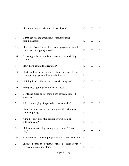| 13. | Floors are clear of debris and loose objects?                                                          |              |         |         |
|-----|--------------------------------------------------------------------------------------------------------|--------------|---------|---------|
| 14. | Wires, cables, and extension cords not causing<br>tripping hazard?                                     | $\perp$      |         |         |
| 15. | Floors are free of loose tiles or other projections which<br>could cause a tripping hazard?            |              | $\perp$ | $\perp$ |
| 16. | Carpeting in fair to good condition and not a tripping<br>hazard?                                      | $\Box$       | $\perp$ | П       |
| 17. | Stairs have handrails as required?                                                                     | $\Box$       | $\perp$ | ĪΙ      |
| 18. | Electrical fans, lower than 7 feet from the floor, do not<br>have openings greater than one-half inch? | П            | $\perp$ | П       |
| 19. | Lighting in all hallways and stairwells adequate?                                                      | $\perp$      | $\Box$  | ΙI      |
| 20. | Emergency lighting available in all areas?                                                             | $\mathsf{L}$ | H       | ΙI      |
| 21. | Cords and plugs do not show signs of wear, exposed<br>wires, etc.?                                     | $\Box$       | $\perp$ | $\perp$ |
| 22. | All cords and plugs inspected at least annually?                                                       | $\perp$      | П       | $\perp$ |
| 23. | Electrical cords are not run through walls, ceilings or<br>under carpeting?                            | $\mathsf{L}$ |         |         |
| 24. | A multi-outlet strip plug is not powered from an<br>extension cord?                                    |              |         |         |
| 25. | Multi-outlet strip plug is not plugged into a $2nd$ strip<br>plug?                                     | $\perp$      | ĪΙ      | $\Box$  |
| 26. | Extension cords are not plugged into a $2nd$ extension cord? $\Box$                                    |              |         | $\Box$  |
| 27. | Extension cords or electrical cords are not placed over or<br>on steam pipes or radiators?             | ⊔            | ⊔       | $\perp$ |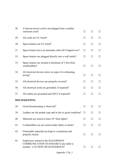| 28. | A heavier power cord is not plugged into a smaller<br>extension cord?                                          |                   | $\perp$ |         |
|-----|----------------------------------------------------------------------------------------------------------------|-------------------|---------|---------|
|     |                                                                                                                | $\Box$            |         | $\perp$ |
| 29. | All cords are UL listed?                                                                                       | ΙI                | П       | □       |
| 30. | Space heaters are UL listed?                                                                                   | $\Box$            | $\perp$ | ΙI      |
| 31. | Space heaters have an automatic shut-off if tipped over?                                                       | П                 | $\perp$ | ⊔       |
| 32. | Space heaters are plugged directly into a wall outlet?                                                         |                   | $\perp$ | $\Box$  |
| 33. | Space heaters are located a minimum of 3 feet from<br>combustibles?                                            | $\Box$            | $\Box$  | П       |
| 34. | All electrical devices show no signs of overheating,<br>arcing?                                                | ΙI                | $\perp$ | $\Box$  |
| 35. | All electrical devices are properly covered?                                                                   | ΙI                | $\Box$  | $\Box$  |
| 36. | All electrical cords are grounded, if required?                                                                | ΙI                | $\perp$ | П       |
| 37. | All outlets are grounded and GFCI if required?                                                                 | $\perp$           | $\perp$ | $\perp$ |
|     | <b>HOUSEKEEPING</b>                                                                                            |                   |         |         |
| 38. | Good housekeeping is observed?                                                                                 | П                 | $\perp$ | $\perp$ |
| 39. | Ladders are the proper type and in fair to good condition?                                                     | $\Box$            | $\perp$ | П       |
| 40. | Materials are stored at least 18" from lights?                                                                 | $\vert \ \ \vert$ | П       | ΙI      |
| 41. | Combustibles are not stored under tables or desks?                                                             |                   |         | ΙI      |
| 42. | Flammable materials are kept to a minimum and<br>properly stored.                                              | $\Box$            | $\perp$ | $\perp$ |
| 43. | Employees trained in the HAZARDOUS<br>COMMUNICATION STANDARD if any label is<br>needed - CAUTION OR DANGEROUS? | $\perp$           | $\perp$ | ΙI      |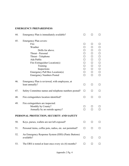## **EMERGENCY PREPAREDNESS**

| 44. | Emergency Plan is immediately available?                                                                                                                                    |                                                                                                                   |                                                                                   |                                                                |
|-----|-----------------------------------------------------------------------------------------------------------------------------------------------------------------------------|-------------------------------------------------------------------------------------------------------------------|-----------------------------------------------------------------------------------|----------------------------------------------------------------|
| 45. | <b>Emergency Plan covers:</b><br>Fire<br>Weather<br>Drills for above.<br>Threat - Personal<br>Threat - Telephone<br>Ada Public<br>Fire Extinguisher Location(s)<br>Training | $\perp$<br>$\mathsf{L}$<br>$\mathsf{L}$<br>$\mathsf{L}$<br>$\mathsf{L}$<br>$\mathsf{L}$<br>$\mathsf{L}$<br>$\Box$ | $\perp$<br>$\overline{\phantom{a}}$<br>$\Box$<br>$\Box$<br>$\Box$<br>$\mathsf{L}$ | $\mathsf{L}$<br>П<br>П<br>П<br>П<br>$\Box$<br>$\Box$<br>$\Box$ |
|     | Inspections<br>Emergency Pull Box Location(s)<br><b>Emergency Numbers Posted</b>                                                                                            | $\perp$<br>П<br>П                                                                                                 | $\Box$<br>$\Box$<br>П                                                             | П<br>$\Box$<br>П                                               |
| 46. | Emergency Plan is reviewed, with employees, at<br>least annually?                                                                                                           | $\Box$                                                                                                            | П                                                                                 | $\Box$                                                         |
| 47. | Safety Committee names and telephone numbers posted?                                                                                                                        | $\perp$                                                                                                           | $\perp$                                                                           | $\mathsf{L}$                                                   |
| 48. | Fire extinguishers location identified?                                                                                                                                     | П                                                                                                                 | П                                                                                 | $\Box$                                                         |
| 49. | Fire extinguishers are inspected:<br>Monthly by County?<br>Annually by an outside agency?<br>PERSONAL PROTECTION, SECURITY AND SAFETY                                       | $\perp$<br>П                                                                                                      | $\perp$<br>П                                                                      | П                                                              |
| 50. | Keys, purses, wallets are not left exposed?                                                                                                                                 | ΙI                                                                                                                |                                                                                   |                                                                |
| 51. | Personal items, coffee pots, radios, etc. not permitted?                                                                                                                    | ΙI                                                                                                                |                                                                                   | $\Box$                                                         |
| 52. | An Emergency Response System (ERS) (Panic Buttons)<br>available?                                                                                                            | $\Box$                                                                                                            | П                                                                                 | $\mathsf{L}$                                                   |
| 53. | The ERS is tested at least once every six $(6)$ months?                                                                                                                     | $\Box$                                                                                                            | $\perp$                                                                           | ΙI                                                             |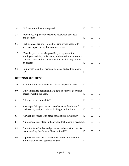| 54. | ERS response time is adequate?                                                                                                                                                               |              |                   | $\mathsf{L}$             |
|-----|----------------------------------------------------------------------------------------------------------------------------------------------------------------------------------------------|--------------|-------------------|--------------------------|
| 55. | Procedures in place for reporting suspicious packages<br>and people?                                                                                                                         | $\mathsf{L}$ |                   | ΙI                       |
| 56. | Parking areas are well lighted for employees needing to<br>arrive or depart during hours of darkness?                                                                                        | ΙI           | $\Box$            | $\overline{\phantom{a}}$ |
| 57. | If needed, escorts can be provided, if requested for<br>employees arriving or departing at times other than normal<br>working hours and for other situations which may require<br>an escort? | ΙI           | $\Box$            | $\mathsf{L}$             |
| 58. | Employees lock their personal vehicles and roll windows<br>up?                                                                                                                               | ΙI           | ΙI                |                          |
|     | <b>BUILDING SECURITY</b>                                                                                                                                                                     |              |                   |                          |
| 59. | Exterior doors are opened and closed at specific times?                                                                                                                                      | $\perp$      | $\mathsf{L}$      | $\Box$                   |
| 60. | Only authorized personnel have keys to exterior doors and<br>specific working spaces?                                                                                                        | П            | $\perp$           | $\perp$                  |
| 61. | All keys are accounted for?                                                                                                                                                                  | $\perp$      | ΙI                | ΙI                       |
| 62. | A sweep of all open spaces is conducted at the close of<br>business day and just prior to locking exterior doors?                                                                            | П            | $\mathsf{L}$      | ΙI                       |
| 63. | A sweep procedure is in place for high risk situations?                                                                                                                                      | $\mathsf{L}$ | ΙI                | ΙI                       |
| 64. | A procedure is in place in the event a lock-down is needed? $\square$                                                                                                                        |              | $\vert \ \ \vert$ | $\mathsf{L}$             |
| 65. | A master list of authorized personnel - those with keys - is<br>maintained by the County Clerk or Sheriff?                                                                                   | ΙI           | ΙI                | ப                        |
| 66. | A procedure is in place for entrance into County facilities<br>at other than normal business hours?                                                                                          | ⊔            | $\Box$            |                          |